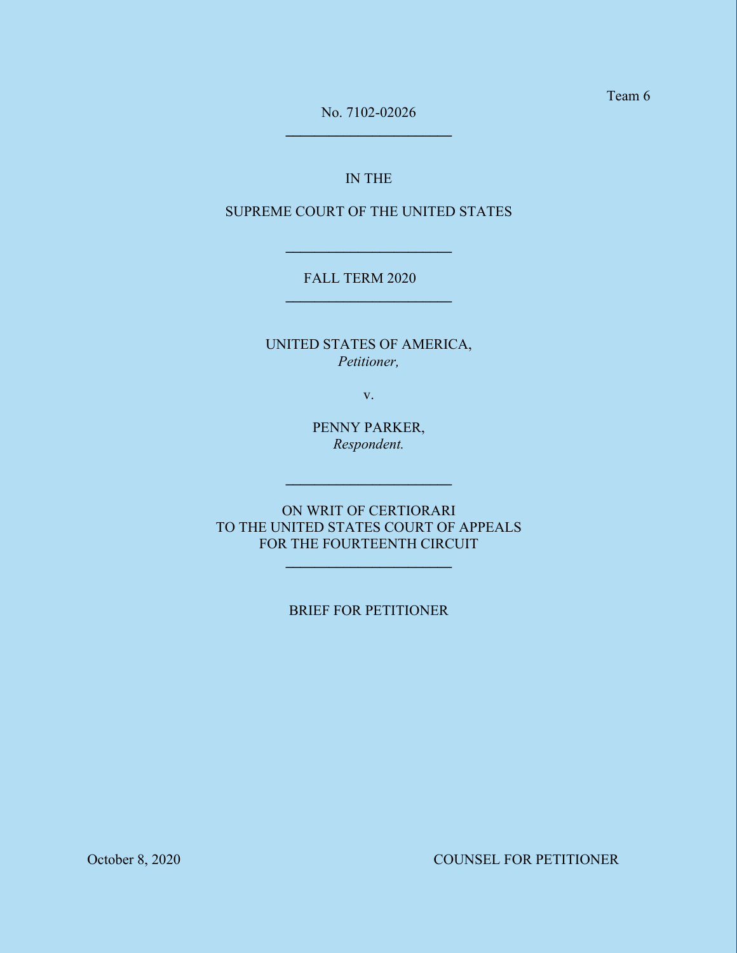No. 7102-02026 **\_\_\_\_\_\_\_\_\_\_\_\_\_\_\_\_\_\_\_\_\_\_\_**

## IN THE

## SUPREME COURT OF THE UNITED STATES

**\_\_\_\_\_\_\_\_\_\_\_\_\_\_\_\_\_\_\_\_\_\_\_**

## FALL TERM 2020 **\_\_\_\_\_\_\_\_\_\_\_\_\_\_\_\_\_\_\_\_\_\_\_**

UNITED STATES OF AMERICA, *Petitioner,*

v.

PENNY PARKER, *Respondent.*

**\_\_\_\_\_\_\_\_\_\_\_\_\_\_\_\_\_\_\_\_\_\_\_**

ON WRIT OF CERTIORARI TO THE UNITED STATES COURT OF APPEALS FOR THE FOURTEENTH CIRCUIT

**\_\_\_\_\_\_\_\_\_\_\_\_\_\_\_\_\_\_\_\_\_\_\_**

### BRIEF FOR PETITIONER

October 8, 2020 COUNSEL FOR PETITIONER

Team 6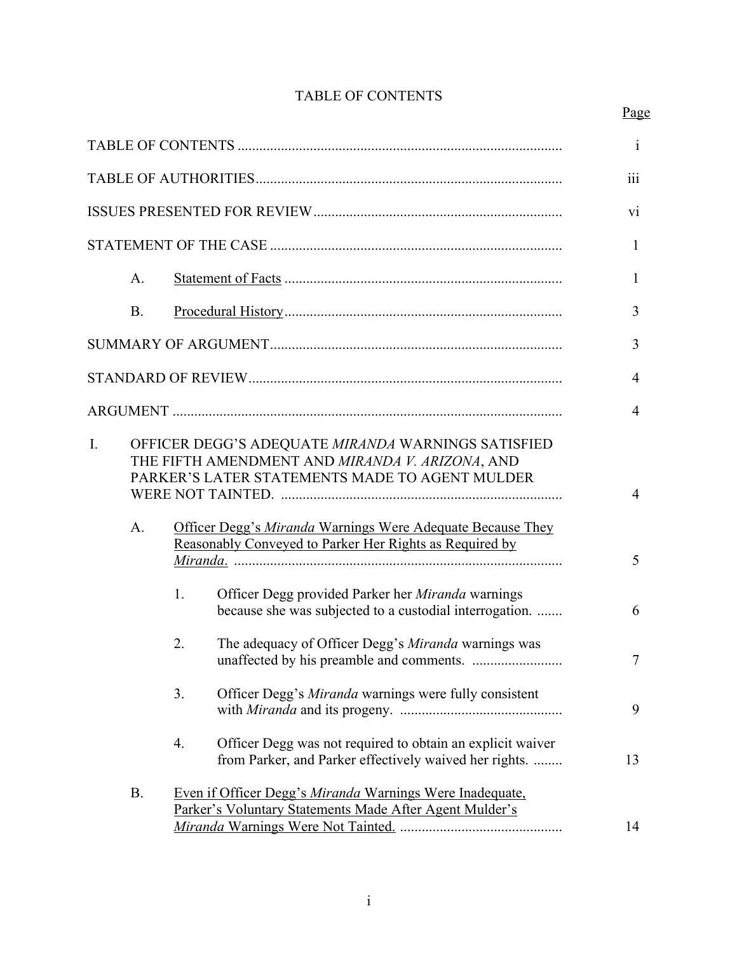# TABLE OF CONTENTS

## Page

|    |           |                                                                                                                                                                                                                                                                                  | $\mathbf{i}$    |
|----|-----------|----------------------------------------------------------------------------------------------------------------------------------------------------------------------------------------------------------------------------------------------------------------------------------|-----------------|
|    |           |                                                                                                                                                                                                                                                                                  | 111             |
|    |           |                                                                                                                                                                                                                                                                                  | $\overline{vi}$ |
|    |           |                                                                                                                                                                                                                                                                                  | $\mathbf{1}$    |
|    | A.        |                                                                                                                                                                                                                                                                                  | 1               |
|    | <b>B.</b> |                                                                                                                                                                                                                                                                                  | 3               |
|    |           |                                                                                                                                                                                                                                                                                  | 3               |
|    |           |                                                                                                                                                                                                                                                                                  | 4               |
|    |           |                                                                                                                                                                                                                                                                                  | $\overline{4}$  |
| I. | A.        | OFFICER DEGG'S ADEQUATE MIRANDA WARNINGS SATISFIED<br>THE FIFTH AMENDMENT AND MIRANDA V. ARIZONA, AND<br>PARKER'S LATER STATEMENTS MADE TO AGENT MULDER<br>Officer Degg's Miranda Warnings Were Adequate Because They<br>Reasonably Conveyed to Parker Her Rights as Required by | 4<br>5          |
|    |           | Officer Degg provided Parker her Miranda warnings<br>1.<br>because she was subjected to a custodial interrogation.                                                                                                                                                               | 6               |
|    |           | 2.<br>The adequacy of Officer Degg's Miranda warnings was                                                                                                                                                                                                                        | $\tau$          |
|    |           | 3.<br>Officer Degg's Miranda warnings were fully consistent                                                                                                                                                                                                                      | 9               |
|    |           | Officer Degg was not required to obtain an explicit waiver<br>4.<br>from Parker, and Parker effectively waived her rights.                                                                                                                                                       | 13              |
|    | <b>B.</b> | Even if Officer Degg's Miranda Warnings Were Inadequate,<br>Parker's Voluntary Statements Made After Agent Mulder's                                                                                                                                                              | 14              |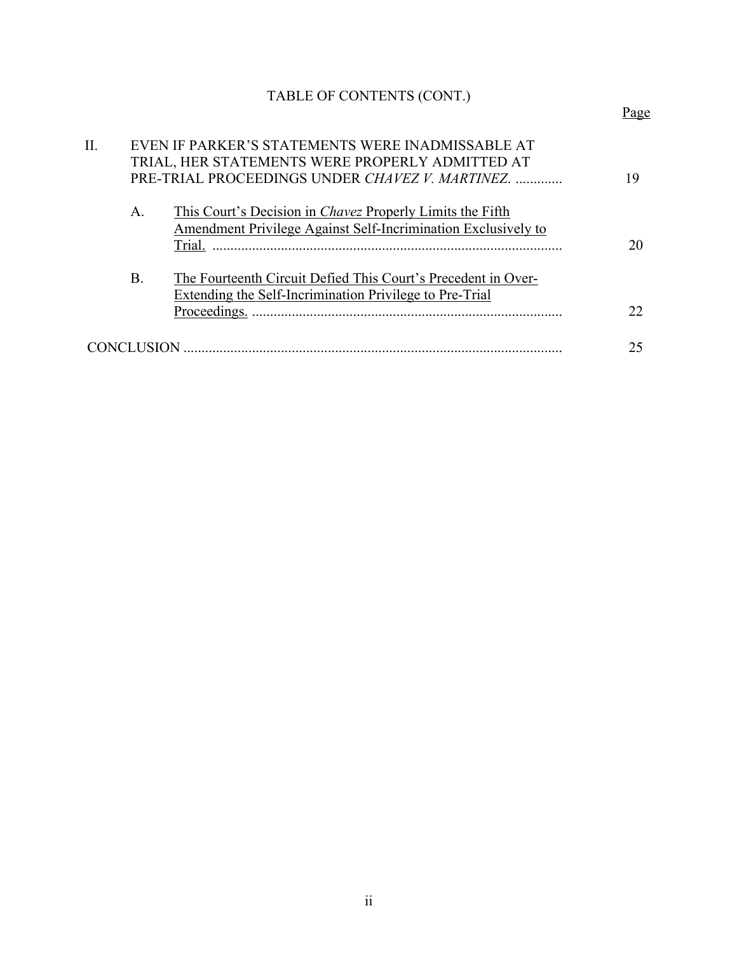# TABLE OF CONTENTS (CONT.)

| Π. |           | EVEN IF PARKER'S STATEMENTS WERE INADMISSABLE AT<br>TRIAL, HER STATEMENTS WERE PROPERLY ADMITTED AT<br>PRE-TRIAL PROCEEDINGS UNDER CHAVEZ V. MARTINEZ. |    |  |
|----|-----------|--------------------------------------------------------------------------------------------------------------------------------------------------------|----|--|
|    | A.        | This Court's Decision in <i>Chavez</i> Properly Limits the Fifth<br>Amendment Privilege Against Self-Incrimination Exclusively to<br>Trial.            | 20 |  |
|    | <b>B.</b> | The Fourteenth Circuit Defied This Court's Precedent in Over-<br>Extending the Self-Incrimination Privilege to Pre-Trial                               | 22 |  |
|    |           |                                                                                                                                                        |    |  |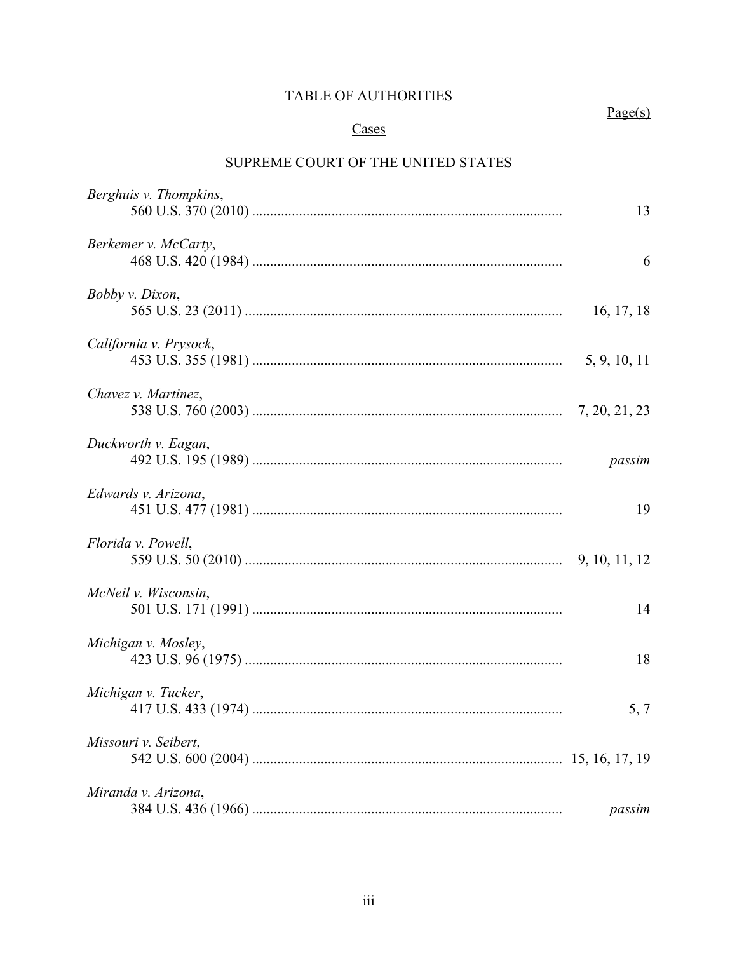## TABLE OF AUTHORITIES

 $Page(s)$ 

## Cases

# SUPREME COURT OF THE UNITED STATES

| Berghuis v. Thompkins, | 13           |
|------------------------|--------------|
| Berkemer v. McCarty,   | 6            |
| Bobby v. Dixon,        | 16, 17, 18   |
| California v. Prysock, | 5, 9, 10, 11 |
| Chavez v. Martinez,    |              |
| Duckworth v. Eagan,    | passim       |
| Edwards v. Arizona,    | 19           |
| Florida v. Powell,     |              |
| McNeil v. Wisconsin,   | 14           |
| Michigan v. Mosley,    | 18           |
| Michigan v. Tucker,    | 5, 7         |
| Missouri v. Seibert,   |              |
| Miranda v. Arizona,    | passim       |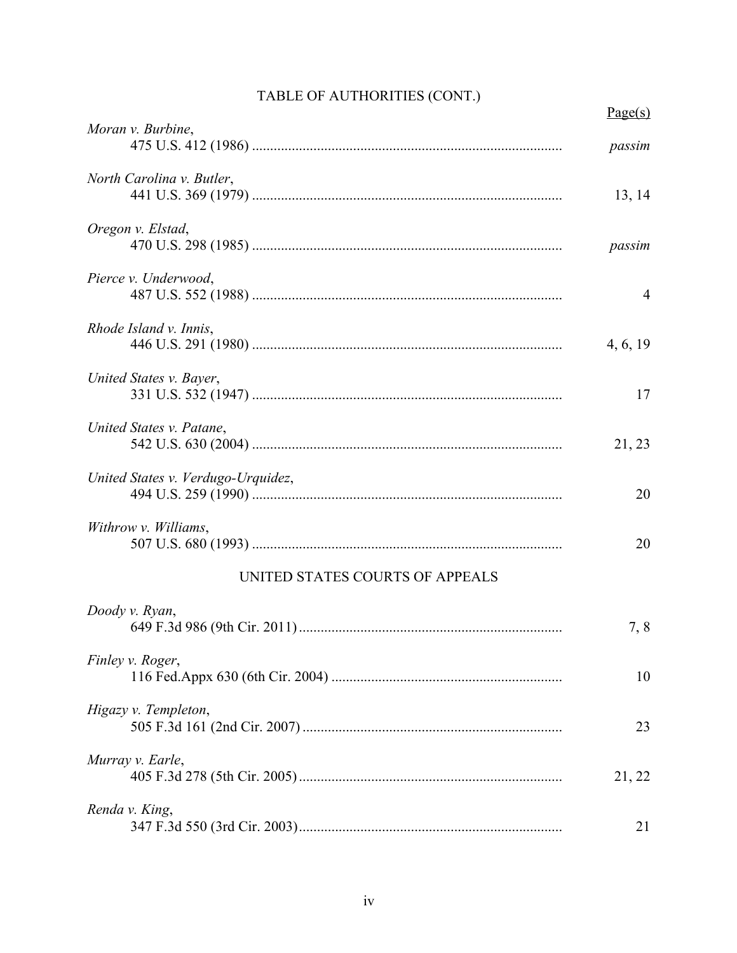|                                    | Page(s)        |
|------------------------------------|----------------|
| Moran v. Burbine,                  | passim         |
| North Carolina v. Butler,          | 13, 14         |
| Oregon v. Elstad,                  | passim         |
| Pierce v. Underwood,               | $\overline{4}$ |
| Rhode Island v. Innis,             | 4, 6, 19       |
| United States v. Bayer,            | 17             |
| United States v. Patane,           | 21, 23         |
| United States v. Verdugo-Urquidez, | 20             |
| Withrow v. Williams,               | 20             |
| UNITED STATES COURTS OF APPEALS    |                |
| Doody v. Ryan,                     | 7,8            |
| Finley v. Roger,                   | 10             |
| Higazy v. Templeton,               | 23             |
| Murray v. Earle,                   | 21, 22         |
| Renda v. King,                     | 21             |

# TABLE OF AUTHORITIES (CONT.)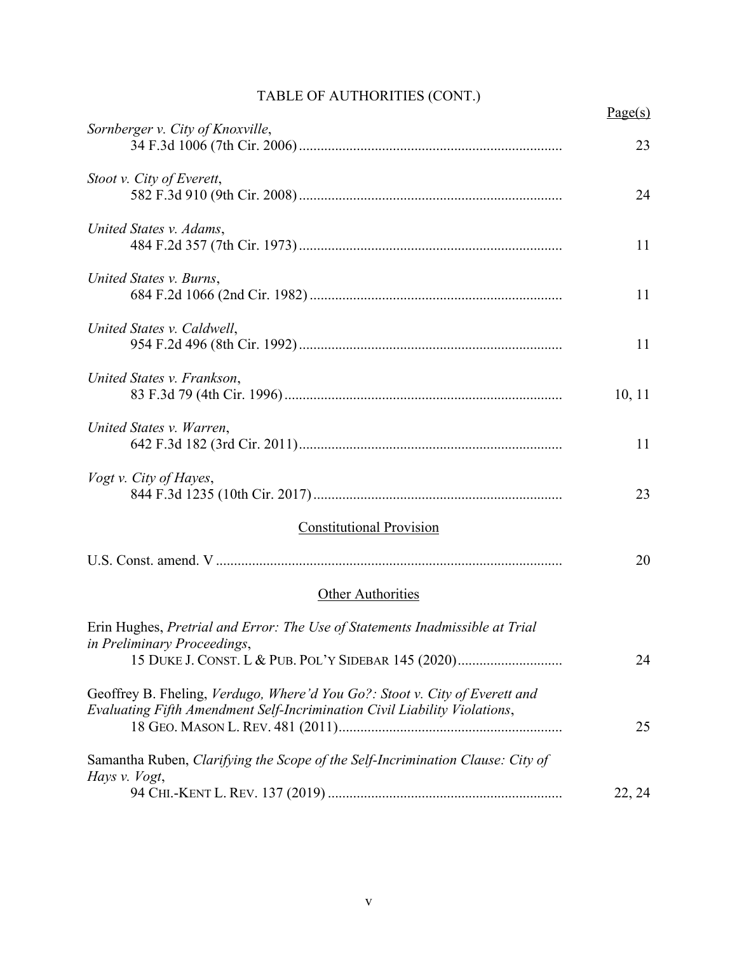# TABLE OF AUTHORITIES (CONT.)

|                                                                                                                                                                    | Page(s) |
|--------------------------------------------------------------------------------------------------------------------------------------------------------------------|---------|
| Sornberger v. City of Knoxville,                                                                                                                                   | 23      |
| Stoot v. City of Everett,                                                                                                                                          | 24      |
| United States v. Adams,                                                                                                                                            | 11      |
| United States v. Burns,                                                                                                                                            | 11      |
| United States v. Caldwell,                                                                                                                                         | 11      |
| United States v. Frankson,                                                                                                                                         | 10, 11  |
| United States v. Warren,                                                                                                                                           | 11      |
| Vogt v. City of Hayes,                                                                                                                                             | 23      |
| <b>Constitutional Provision</b>                                                                                                                                    |         |
|                                                                                                                                                                    | 20      |
| <b>Other Authorities</b>                                                                                                                                           |         |
| Erin Hughes, Pretrial and Error: The Use of Statements Inadmissible at Trial<br>in Preliminary Proceedings,<br>15 DUKE J. CONST. L & PUB. POL'Y SIDEBAR 145 (2020) | 24      |
| Geoffrey B. Fheling, Verdugo, Where'd You Go?: Stoot v. City of Everett and<br>Evaluating Fifth Amendment Self-Incrimination Civil Liability Violations,           |         |
| Samantha Ruben, Clarifying the Scope of the Self-Incrimination Clause: City of                                                                                     | 25      |
| Hays v. Vogt,                                                                                                                                                      | 22, 24  |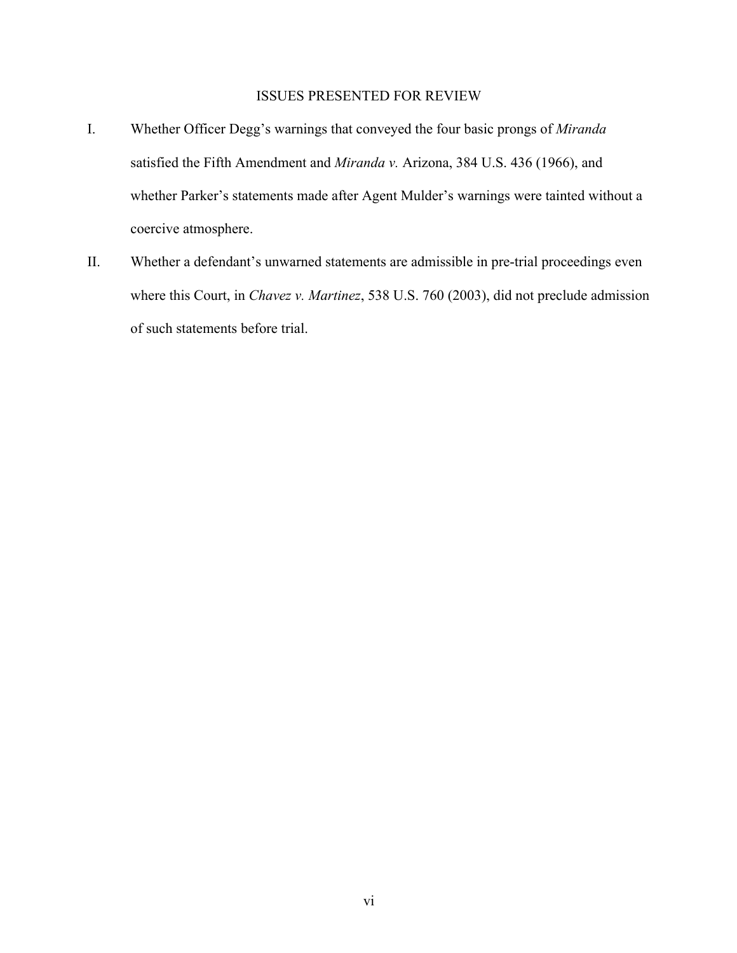### ISSUES PRESENTED FOR REVIEW

- I. Whether Officer Degg's warnings that conveyed the four basic prongs of *Miranda*  satisfied the Fifth Amendment and *Miranda v.* Arizona, 384 U.S. 436 (1966), and whether Parker's statements made after Agent Mulder's warnings were tainted without a coercive atmosphere.
- II. Whether a defendant's unwarned statements are admissible in pre-trial proceedings even where this Court, in *Chavez v. Martinez*, 538 U.S. 760 (2003), did not preclude admission of such statements before trial.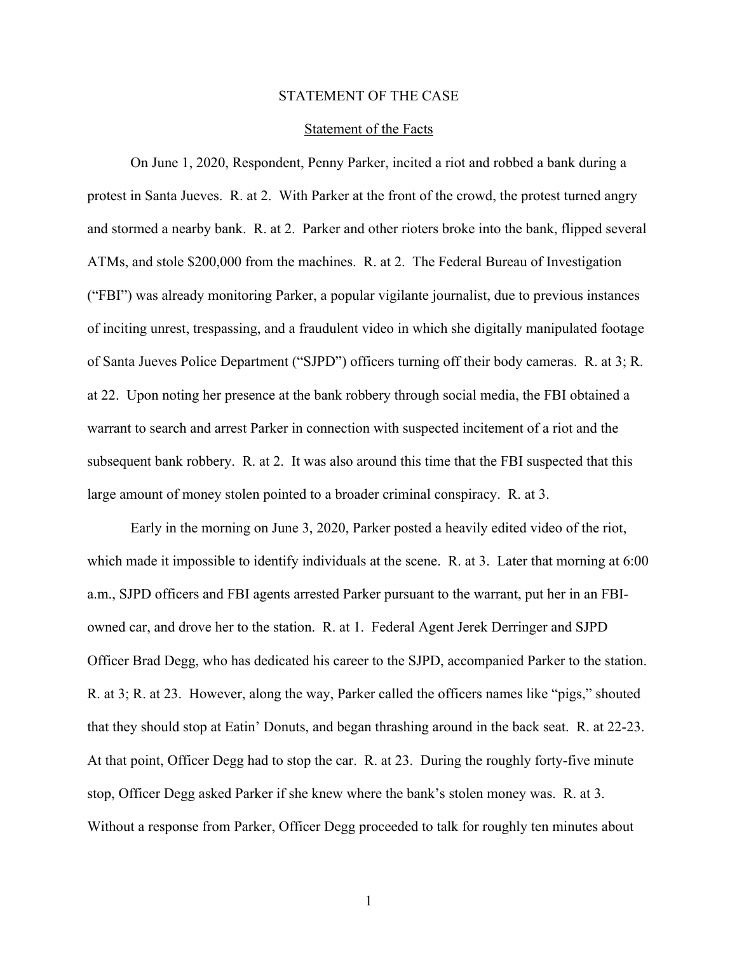#### STATEMENT OF THE CASE

#### Statement of the Facts

On June 1, 2020, Respondent, Penny Parker, incited a riot and robbed a bank during a protest in Santa Jueves. R. at 2. With Parker at the front of the crowd, the protest turned angry and stormed a nearby bank. R. at 2. Parker and other rioters broke into the bank, flipped several ATMs, and stole \$200,000 from the machines. R. at 2. The Federal Bureau of Investigation ("FBI") was already monitoring Parker, a popular vigilante journalist, due to previous instances of inciting unrest, trespassing, and a fraudulent video in which she digitally manipulated footage of Santa Jueves Police Department ("SJPD") officers turning off their body cameras. R. at 3; R. at 22. Upon noting her presence at the bank robbery through social media, the FBI obtained a warrant to search and arrest Parker in connection with suspected incitement of a riot and the subsequent bank robbery. R. at 2. It was also around this time that the FBI suspected that this large amount of money stolen pointed to a broader criminal conspiracy. R. at 3.

Early in the morning on June 3, 2020, Parker posted a heavily edited video of the riot, which made it impossible to identify individuals at the scene. R. at 3. Later that morning at 6:00 a.m., SJPD officers and FBI agents arrested Parker pursuant to the warrant, put her in an FBIowned car, and drove her to the station. R. at 1. Federal Agent Jerek Derringer and SJPD Officer Brad Degg, who has dedicated his career to the SJPD, accompanied Parker to the station. R. at 3; R. at 23. However, along the way, Parker called the officers names like "pigs," shouted that they should stop at Eatin' Donuts, and began thrashing around in the back seat. R. at 22-23. At that point, Officer Degg had to stop the car. R. at 23. During the roughly forty-five minute stop, Officer Degg asked Parker if she knew where the bank's stolen money was. R. at 3. Without a response from Parker, Officer Degg proceeded to talk for roughly ten minutes about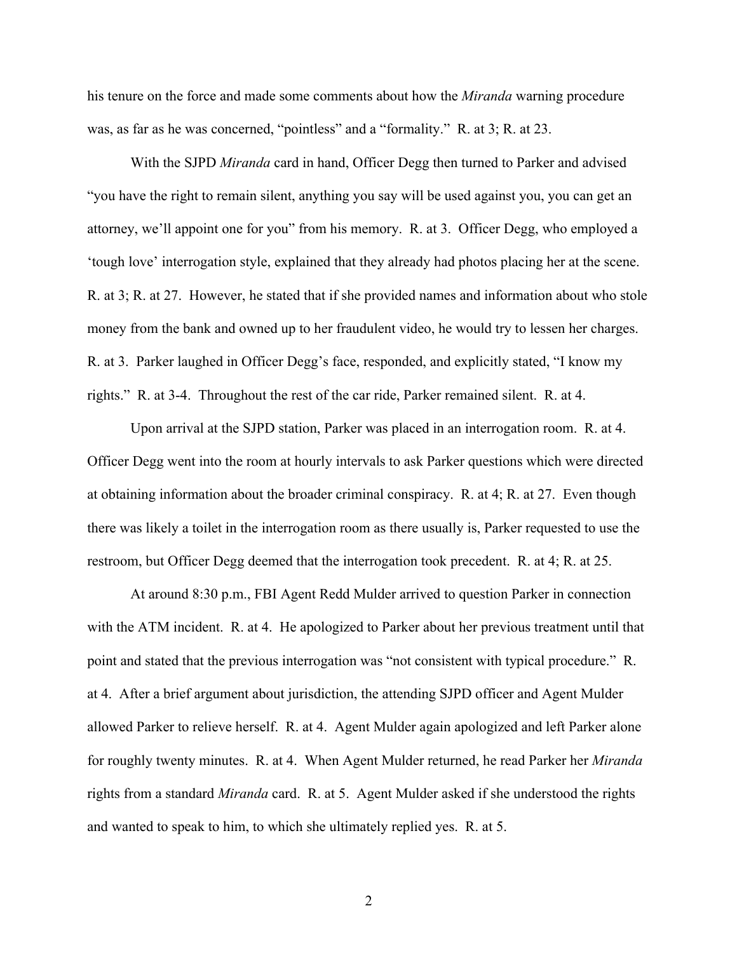his tenure on the force and made some comments about how the *Miranda* warning procedure was, as far as he was concerned, "pointless" and a "formality." R. at 3; R. at 23.

With the SJPD *Miranda* card in hand, Officer Degg then turned to Parker and advised "you have the right to remain silent, anything you say will be used against you, you can get an attorney, we'll appoint one for you" from his memory. R. at 3. Officer Degg, who employed a 'tough love' interrogation style, explained that they already had photos placing her at the scene. R. at 3; R. at 27. However, he stated that if she provided names and information about who stole money from the bank and owned up to her fraudulent video, he would try to lessen her charges. R. at 3. Parker laughed in Officer Degg's face, responded, and explicitly stated, "I know my rights." R. at 3-4. Throughout the rest of the car ride, Parker remained silent. R. at 4.

Upon arrival at the SJPD station, Parker was placed in an interrogation room. R. at 4. Officer Degg went into the room at hourly intervals to ask Parker questions which were directed at obtaining information about the broader criminal conspiracy. R. at 4; R. at 27. Even though there was likely a toilet in the interrogation room as there usually is, Parker requested to use the restroom, but Officer Degg deemed that the interrogation took precedent. R. at 4; R. at 25.

At around 8:30 p.m., FBI Agent Redd Mulder arrived to question Parker in connection with the ATM incident. R. at 4. He apologized to Parker about her previous treatment until that point and stated that the previous interrogation was "not consistent with typical procedure." R. at 4. After a brief argument about jurisdiction, the attending SJPD officer and Agent Mulder allowed Parker to relieve herself. R. at 4. Agent Mulder again apologized and left Parker alone for roughly twenty minutes. R. at 4. When Agent Mulder returned, he read Parker her *Miranda*  rights from a standard *Miranda* card. R. at 5. Agent Mulder asked if she understood the rights and wanted to speak to him, to which she ultimately replied yes. R. at 5.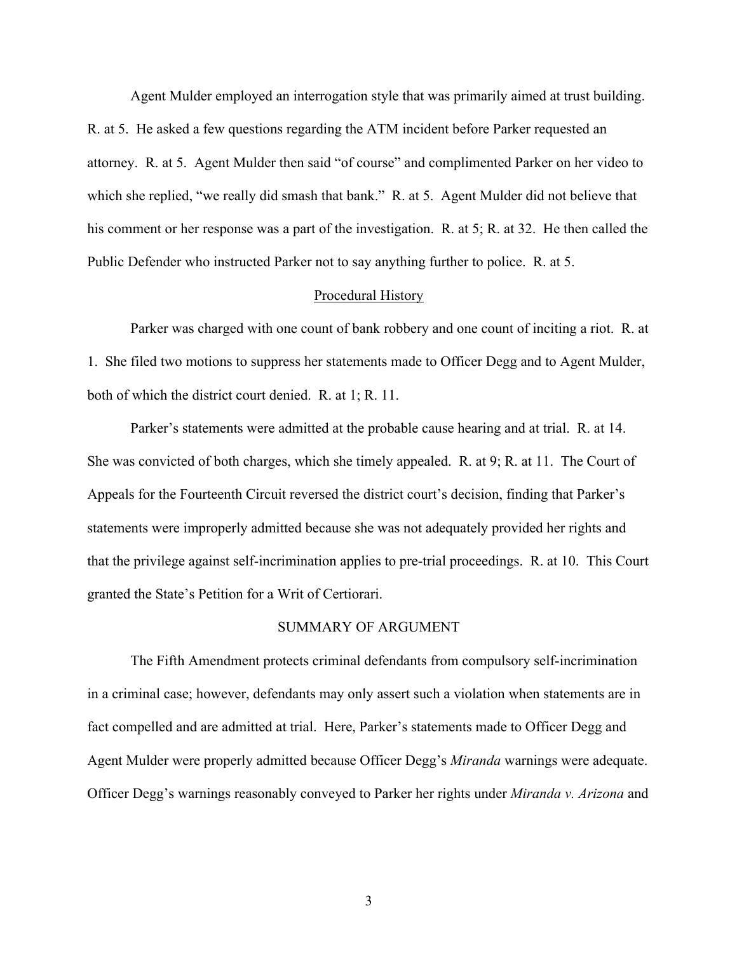Agent Mulder employed an interrogation style that was primarily aimed at trust building. R. at 5. He asked a few questions regarding the ATM incident before Parker requested an attorney. R. at 5. Agent Mulder then said "of course" and complimented Parker on her video to which she replied, "we really did smash that bank." R. at 5. Agent Mulder did not believe that his comment or her response was a part of the investigation. R. at 5; R. at 32. He then called the Public Defender who instructed Parker not to say anything further to police. R. at 5.

#### Procedural History

Parker was charged with one count of bank robbery and one count of inciting a riot. R. at 1. She filed two motions to suppress her statements made to Officer Degg and to Agent Mulder, both of which the district court denied. R. at 1; R. 11.

Parker's statements were admitted at the probable cause hearing and at trial. R. at 14. She was convicted of both charges, which she timely appealed. R. at 9; R. at 11. The Court of Appeals for the Fourteenth Circuit reversed the district court's decision, finding that Parker's statements were improperly admitted because she was not adequately provided her rights and that the privilege against self-incrimination applies to pre-trial proceedings. R. at 10. This Court granted the State's Petition for a Writ of Certiorari.

#### SUMMARY OF ARGUMENT

The Fifth Amendment protects criminal defendants from compulsory self-incrimination in a criminal case; however, defendants may only assert such a violation when statements are in fact compelled and are admitted at trial. Here, Parker's statements made to Officer Degg and Agent Mulder were properly admitted because Officer Degg's *Miranda* warnings were adequate. Officer Degg's warnings reasonably conveyed to Parker her rights under *Miranda v. Arizona* and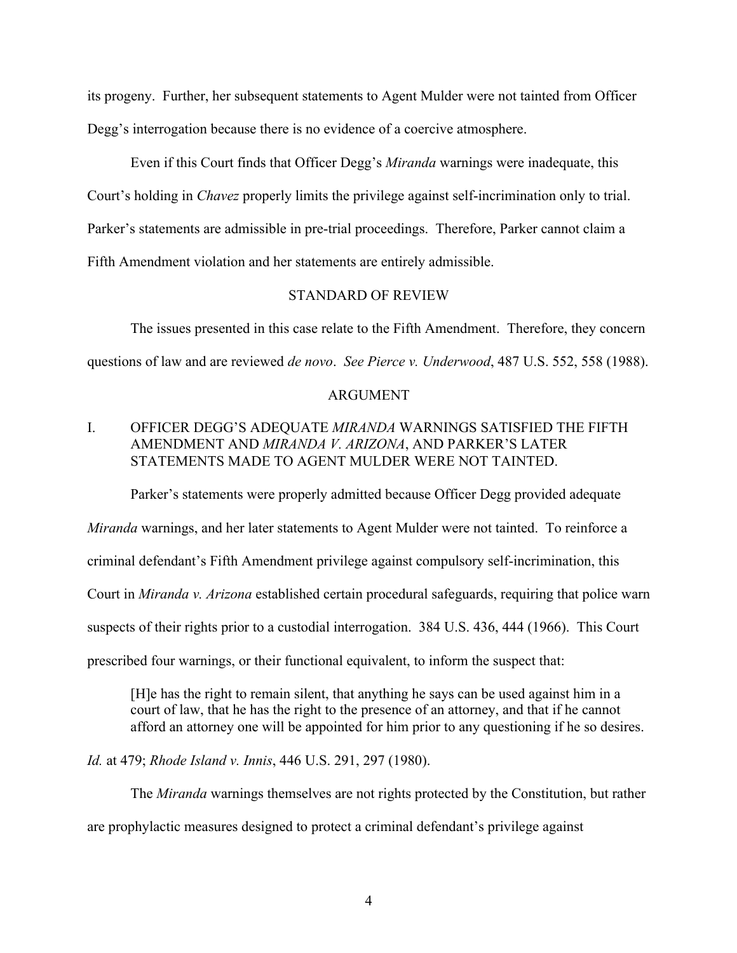its progeny. Further, her subsequent statements to Agent Mulder were not tainted from Officer Degg's interrogation because there is no evidence of a coercive atmosphere.

Even if this Court finds that Officer Degg's *Miranda* warnings were inadequate, this Court's holding in *Chavez* properly limits the privilege against self-incrimination only to trial. Parker's statements are admissible in pre-trial proceedings. Therefore, Parker cannot claim a Fifth Amendment violation and her statements are entirely admissible.

### STANDARD OF REVIEW

The issues presented in this case relate to the Fifth Amendment. Therefore, they concern questions of law and are reviewed *de novo*. *See Pierce v. Underwood*, 487 U.S. 552, 558 (1988).

#### ARGUMENT

## I. OFFICER DEGG'S ADEQUATE *MIRANDA* WARNINGS SATISFIED THE FIFTH AMENDMENT AND *MIRANDA V. ARIZONA*, AND PARKER'S LATER STATEMENTS MADE TO AGENT MULDER WERE NOT TAINTED.

Parker's statements were properly admitted because Officer Degg provided adequate

*Miranda* warnings, and her later statements to Agent Mulder were not tainted. To reinforce a criminal defendant's Fifth Amendment privilege against compulsory self-incrimination, this Court in *Miranda v. Arizona* established certain procedural safeguards, requiring that police warn suspects of their rights prior to a custodial interrogation. 384 U.S. 436, 444 (1966). This Court prescribed four warnings, or their functional equivalent, to inform the suspect that:

[H]e has the right to remain silent, that anything he says can be used against him in a court of law, that he has the right to the presence of an attorney, and that if he cannot afford an attorney one will be appointed for him prior to any questioning if he so desires.

*Id.* at 479; *Rhode Island v. Innis*, 446 U.S. 291, 297 (1980).

The *Miranda* warnings themselves are not rights protected by the Constitution, but rather are prophylactic measures designed to protect a criminal defendant's privilege against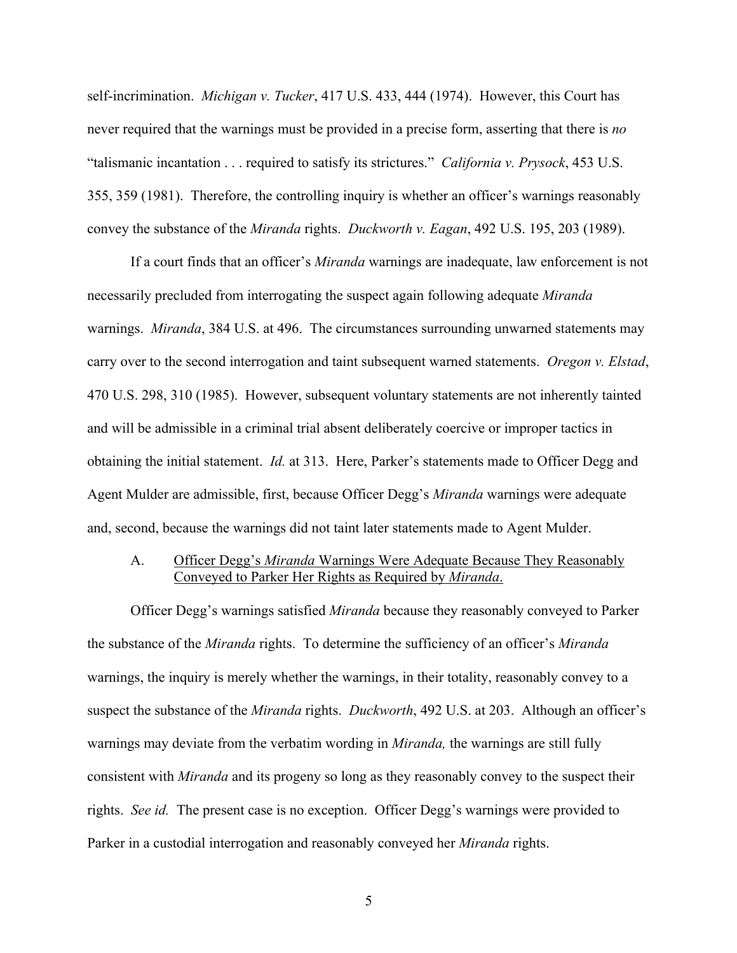self-incrimination. *Michigan v. Tucker*, 417 U.S. 433, 444 (1974). However, this Court has never required that the warnings must be provided in a precise form, asserting that there is *no* "talismanic incantation . . . required to satisfy its strictures." *California v. Prysock*, 453 U.S. 355, 359 (1981). Therefore, the controlling inquiry is whether an officer's warnings reasonably convey the substance of the *Miranda* rights. *Duckworth v. Eagan*, 492 U.S. 195, 203 (1989).

If a court finds that an officer's *Miranda* warnings are inadequate, law enforcement is not necessarily precluded from interrogating the suspect again following adequate *Miranda* warnings. *Miranda*, 384 U.S. at 496. The circumstances surrounding unwarned statements may carry over to the second interrogation and taint subsequent warned statements. *Oregon v. Elstad*, 470 U.S. 298, 310 (1985). However, subsequent voluntary statements are not inherently tainted and will be admissible in a criminal trial absent deliberately coercive or improper tactics in obtaining the initial statement. *Id.* at 313. Here, Parker's statements made to Officer Degg and Agent Mulder are admissible, first, because Officer Degg's *Miranda* warnings were adequate and, second, because the warnings did not taint later statements made to Agent Mulder.

## A. Officer Degg's *Miranda* Warnings Were Adequate Because They Reasonably Conveyed to Parker Her Rights as Required by *Miranda*.

Officer Degg's warnings satisfied *Miranda* because they reasonably conveyed to Parker the substance of the *Miranda* rights. To determine the sufficiency of an officer's *Miranda*  warnings, the inquiry is merely whether the warnings, in their totality, reasonably convey to a suspect the substance of the *Miranda* rights. *Duckworth*, 492 U.S. at 203. Although an officer's warnings may deviate from the verbatim wording in *Miranda,* the warnings are still fully consistent with *Miranda* and its progeny so long as they reasonably convey to the suspect their rights. *See id.* The present case is no exception. Officer Degg's warnings were provided to Parker in a custodial interrogation and reasonably conveyed her *Miranda* rights.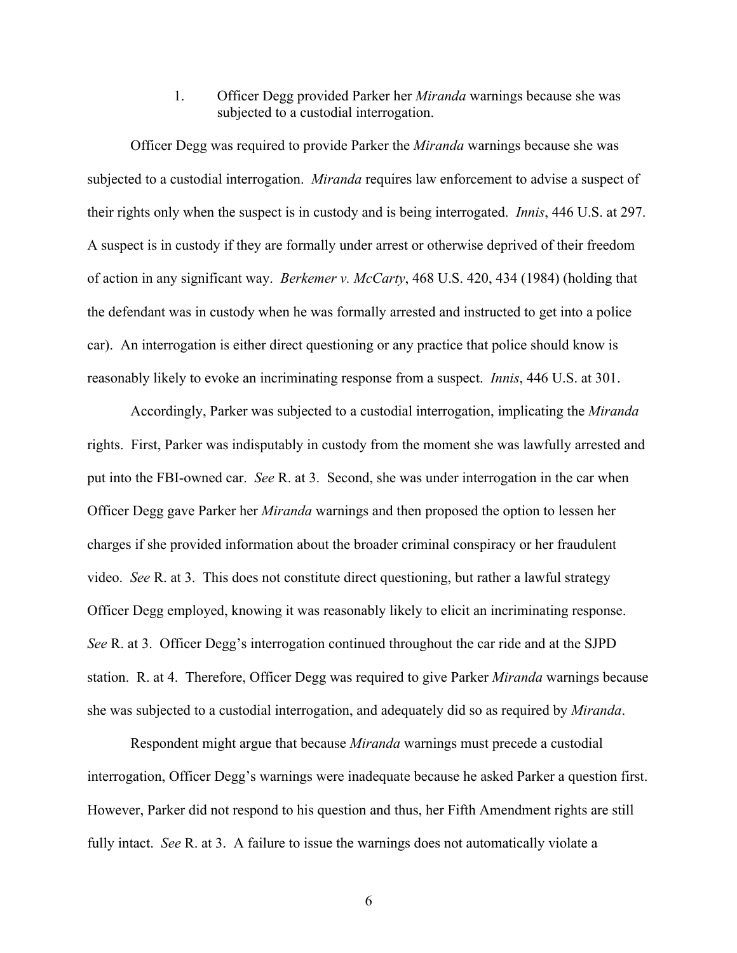1. Officer Degg provided Parker her *Miranda* warnings because she was subjected to a custodial interrogation.

Officer Degg was required to provide Parker the *Miranda* warnings because she was subjected to a custodial interrogation. *Miranda* requires law enforcement to advise a suspect of their rights only when the suspect is in custody and is being interrogated. *Innis*, 446 U.S. at 297. A suspect is in custody if they are formally under arrest or otherwise deprived of their freedom of action in any significant way. *Berkemer v. McCarty*, 468 U.S. 420, 434 (1984) (holding that the defendant was in custody when he was formally arrested and instructed to get into a police car). An interrogation is either direct questioning or any practice that police should know is reasonably likely to evoke an incriminating response from a suspect. *Innis*, 446 U.S. at 301.

Accordingly, Parker was subjected to a custodial interrogation, implicating the *Miranda*  rights. First, Parker was indisputably in custody from the moment she was lawfully arrested and put into the FBI-owned car. *See* R. at 3. Second, she was under interrogation in the car when Officer Degg gave Parker her *Miranda* warnings and then proposed the option to lessen her charges if she provided information about the broader criminal conspiracy or her fraudulent video. *See* R. at 3. This does not constitute direct questioning, but rather a lawful strategy Officer Degg employed, knowing it was reasonably likely to elicit an incriminating response. *See* R. at 3. Officer Degg's interrogation continued throughout the car ride and at the SJPD station. R. at 4. Therefore, Officer Degg was required to give Parker *Miranda* warnings because she was subjected to a custodial interrogation, and adequately did so as required by *Miranda*.

Respondent might argue that because *Miranda* warnings must precede a custodial interrogation, Officer Degg's warnings were inadequate because he asked Parker a question first. However, Parker did not respond to his question and thus, her Fifth Amendment rights are still fully intact. *See* R. at 3. A failure to issue the warnings does not automatically violate a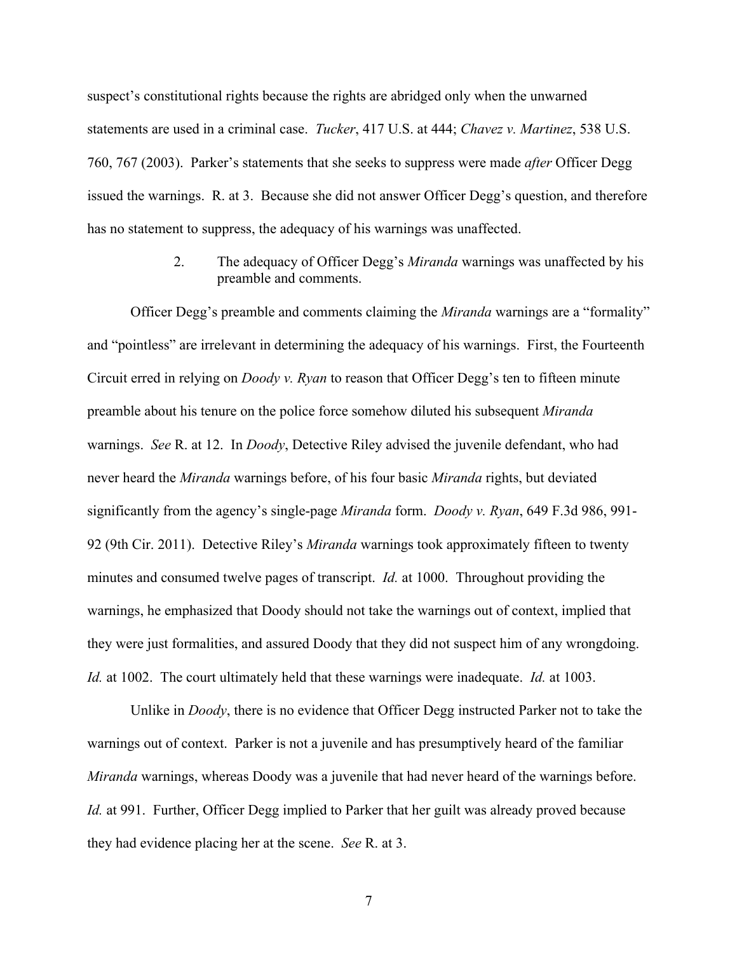suspect's constitutional rights because the rights are abridged only when the unwarned statements are used in a criminal case. *Tucker*, 417 U.S. at 444; *Chavez v. Martinez*, 538 U.S. 760, 767 (2003). Parker's statements that she seeks to suppress were made *after* Officer Degg issued the warnings. R. at 3. Because she did not answer Officer Degg's question, and therefore has no statement to suppress, the adequacy of his warnings was unaffected.

> 2. The adequacy of Officer Degg's *Miranda* warnings was unaffected by his preamble and comments.

Officer Degg's preamble and comments claiming the *Miranda* warnings are a "formality" and "pointless" are irrelevant in determining the adequacy of his warnings. First, the Fourteenth Circuit erred in relying on *Doody v. Ryan* to reason that Officer Degg's ten to fifteen minute preamble about his tenure on the police force somehow diluted his subsequent *Miranda*  warnings. *See* R. at 12. In *Doody*, Detective Riley advised the juvenile defendant, who had never heard the *Miranda* warnings before, of his four basic *Miranda* rights, but deviated significantly from the agency's single-page *Miranda* form. *Doody v. Ryan*, 649 F.3d 986, 991- 92 (9th Cir. 2011). Detective Riley's *Miranda* warnings took approximately fifteen to twenty minutes and consumed twelve pages of transcript. *Id.* at 1000. Throughout providing the warnings, he emphasized that Doody should not take the warnings out of context, implied that they were just formalities, and assured Doody that they did not suspect him of any wrongdoing. *Id.* at 1002. The court ultimately held that these warnings were inadequate. *Id.* at 1003.

Unlike in *Doody*, there is no evidence that Officer Degg instructed Parker not to take the warnings out of context. Parker is not a juvenile and has presumptively heard of the familiar *Miranda* warnings, whereas Doody was a juvenile that had never heard of the warnings before. *Id.* at 991. Further, Officer Degg implied to Parker that her guilt was already proved because they had evidence placing her at the scene. *See* R. at 3.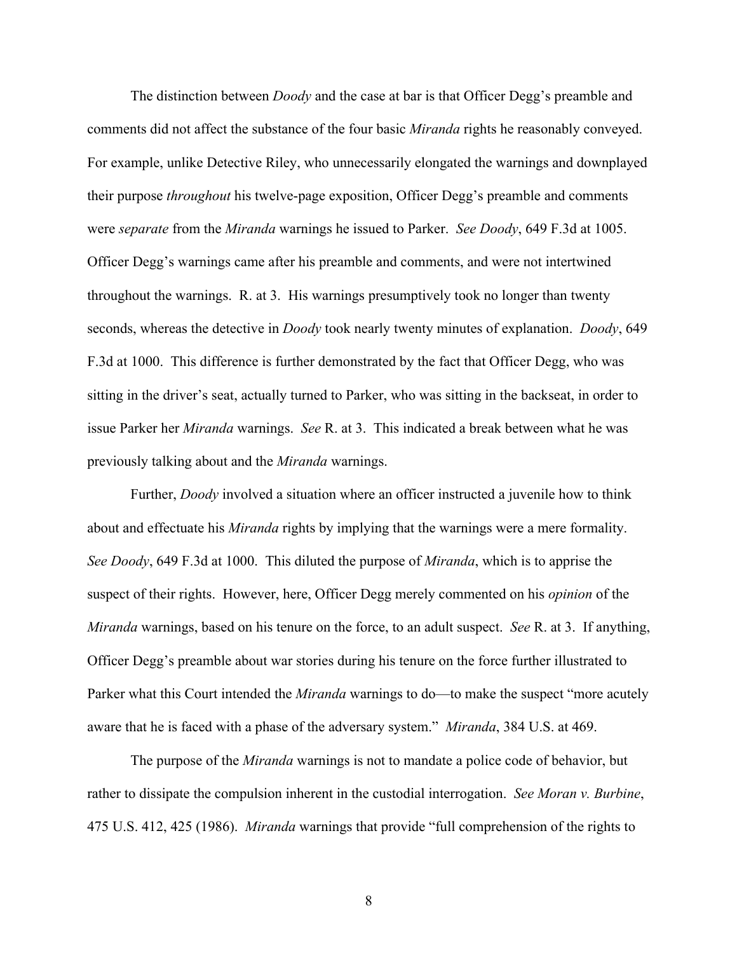The distinction between *Doody* and the case at bar is that Officer Degg's preamble and comments did not affect the substance of the four basic *Miranda* rights he reasonably conveyed. For example, unlike Detective Riley, who unnecessarily elongated the warnings and downplayed their purpose *throughout* his twelve-page exposition, Officer Degg's preamble and comments were *separate* from the *Miranda* warnings he issued to Parker. *See Doody*, 649 F.3d at 1005. Officer Degg's warnings came after his preamble and comments, and were not intertwined throughout the warnings. R. at 3. His warnings presumptively took no longer than twenty seconds, whereas the detective in *Doody* took nearly twenty minutes of explanation. *Doody*, 649 F.3d at 1000. This difference is further demonstrated by the fact that Officer Degg, who was sitting in the driver's seat, actually turned to Parker, who was sitting in the backseat, in order to issue Parker her *Miranda* warnings. *See* R. at 3. This indicated a break between what he was previously talking about and the *Miranda* warnings.

Further, *Doody* involved a situation where an officer instructed a juvenile how to think about and effectuate his *Miranda* rights by implying that the warnings were a mere formality. *See Doody*, 649 F.3d at 1000. This diluted the purpose of *Miranda*, which is to apprise the suspect of their rights. However, here, Officer Degg merely commented on his *opinion* of the *Miranda* warnings, based on his tenure on the force, to an adult suspect. *See* R. at 3. If anything, Officer Degg's preamble about war stories during his tenure on the force further illustrated to Parker what this Court intended the *Miranda* warnings to do—to make the suspect "more acutely aware that he is faced with a phase of the adversary system." *Miranda*, 384 U.S. at 469.

The purpose of the *Miranda* warnings is not to mandate a police code of behavior, but rather to dissipate the compulsion inherent in the custodial interrogation. *See Moran v. Burbine*, 475 U.S. 412, 425 (1986). *Miranda* warnings that provide "full comprehension of the rights to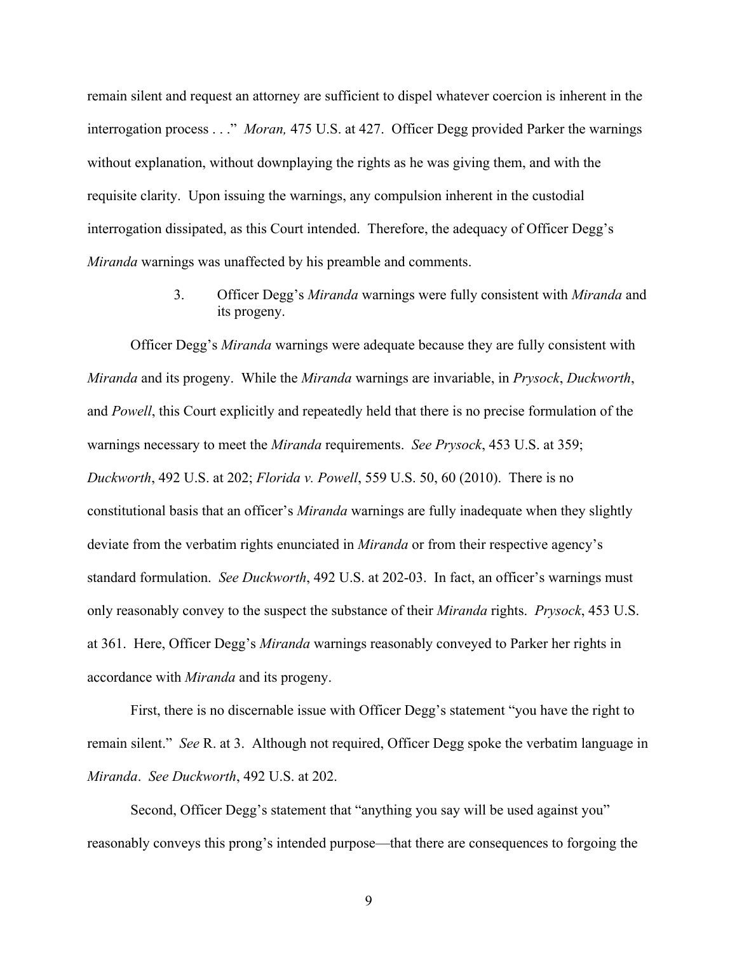remain silent and request an attorney are sufficient to dispel whatever coercion is inherent in the interrogation process . . ." *Moran,* 475 U.S. at 427. Officer Degg provided Parker the warnings without explanation, without downplaying the rights as he was giving them, and with the requisite clarity. Upon issuing the warnings, any compulsion inherent in the custodial interrogation dissipated, as this Court intended. Therefore, the adequacy of Officer Degg's *Miranda* warnings was unaffected by his preamble and comments.

> 3. Officer Degg's *Miranda* warnings were fully consistent with *Miranda* and its progeny.

Officer Degg's *Miranda* warnings were adequate because they are fully consistent with *Miranda* and its progeny. While the *Miranda* warnings are invariable, in *Prysock*, *Duckworth*, and *Powell*, this Court explicitly and repeatedly held that there is no precise formulation of the warnings necessary to meet the *Miranda* requirements. *See Prysock*, 453 U.S. at 359; *Duckworth*, 492 U.S. at 202; *Florida v. Powell*, 559 U.S. 50, 60 (2010). There is no constitutional basis that an officer's *Miranda* warnings are fully inadequate when they slightly deviate from the verbatim rights enunciated in *Miranda* or from their respective agency's standard formulation. *See Duckworth*, 492 U.S. at 202-03. In fact, an officer's warnings must only reasonably convey to the suspect the substance of their *Miranda* rights. *Prysock*, 453 U.S. at 361. Here, Officer Degg's *Miranda* warnings reasonably conveyed to Parker her rights in accordance with *Miranda* and its progeny.

First, there is no discernable issue with Officer Degg's statement "you have the right to remain silent." *See* R. at 3. Although not required, Officer Degg spoke the verbatim language in *Miranda*. *See Duckworth*, 492 U.S. at 202.

Second, Officer Degg's statement that "anything you say will be used against you" reasonably conveys this prong's intended purpose—that there are consequences to forgoing the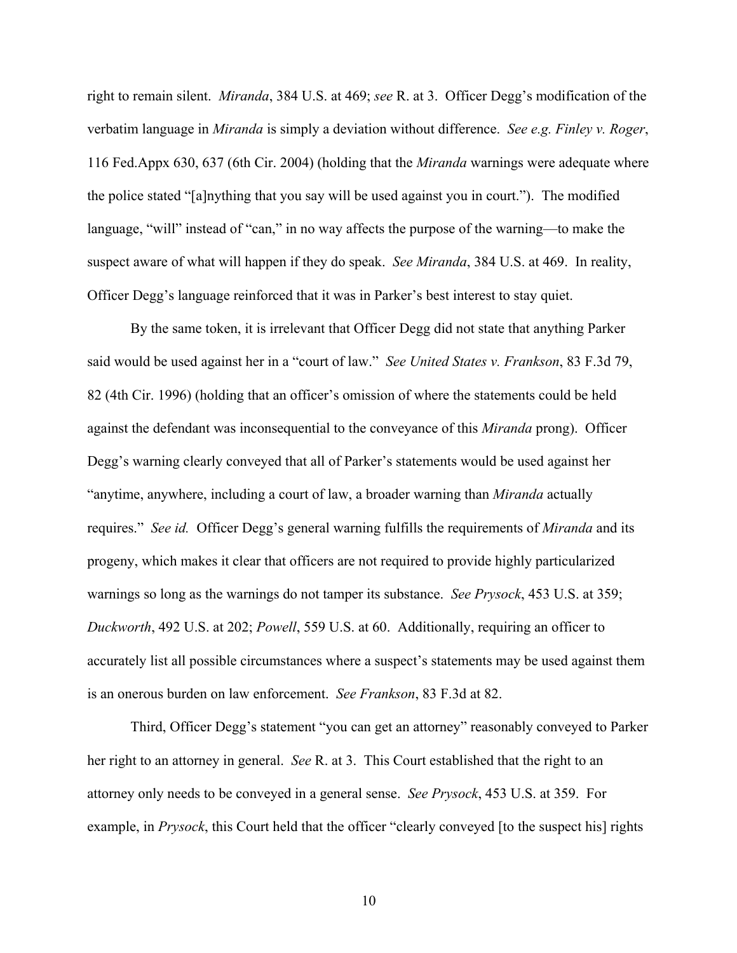right to remain silent. *Miranda*, 384 U.S. at 469; *see* R. at 3. Officer Degg's modification of the verbatim language in *Miranda* is simply a deviation without difference. *See e.g. Finley v. Roger*, 116 Fed.Appx 630, 637 (6th Cir. 2004) (holding that the *Miranda* warnings were adequate where the police stated "[a]nything that you say will be used against you in court."). The modified language, "will" instead of "can," in no way affects the purpose of the warning—to make the suspect aware of what will happen if they do speak. *See Miranda*, 384 U.S. at 469. In reality, Officer Degg's language reinforced that it was in Parker's best interest to stay quiet.

By the same token, it is irrelevant that Officer Degg did not state that anything Parker said would be used against her in a "court of law." *See United States v. Frankson*, 83 F.3d 79, 82 (4th Cir. 1996) (holding that an officer's omission of where the statements could be held against the defendant was inconsequential to the conveyance of this *Miranda* prong). Officer Degg's warning clearly conveyed that all of Parker's statements would be used against her "anytime, anywhere, including a court of law, a broader warning than *Miranda* actually requires." *See id.* Officer Degg's general warning fulfills the requirements of *Miranda* and its progeny, which makes it clear that officers are not required to provide highly particularized warnings so long as the warnings do not tamper its substance. *See Prysock*, 453 U.S. at 359; *Duckworth*, 492 U.S. at 202; *Powell*, 559 U.S. at 60. Additionally, requiring an officer to accurately list all possible circumstances where a suspect's statements may be used against them is an onerous burden on law enforcement. *See Frankson*, 83 F.3d at 82.

Third, Officer Degg's statement "you can get an attorney" reasonably conveyed to Parker her right to an attorney in general. *See* R. at 3. This Court established that the right to an attorney only needs to be conveyed in a general sense. *See Prysock*, 453 U.S. at 359. For example, in *Prysock*, this Court held that the officer "clearly conveyed [to the suspect his] rights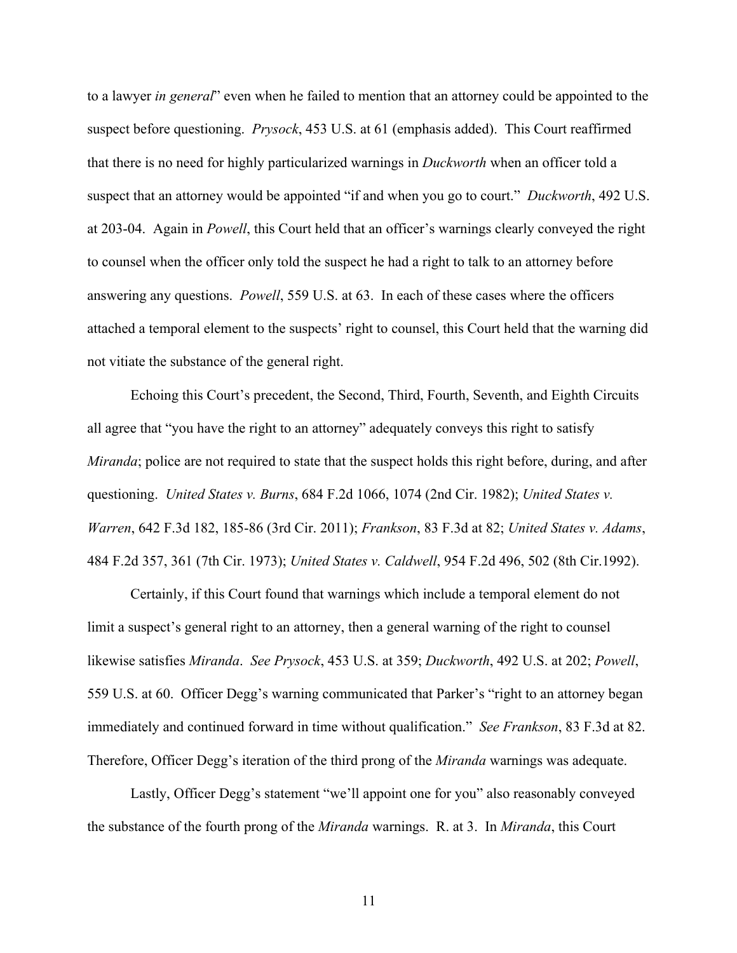to a lawyer *in general*" even when he failed to mention that an attorney could be appointed to the suspect before questioning. *Prysock*, 453 U.S. at 61 (emphasis added). This Court reaffirmed that there is no need for highly particularized warnings in *Duckworth* when an officer told a suspect that an attorney would be appointed "if and when you go to court." *Duckworth*, 492 U.S. at 203-04. Again in *Powell*, this Court held that an officer's warnings clearly conveyed the right to counsel when the officer only told the suspect he had a right to talk to an attorney before answering any questions. *Powell*, 559 U.S. at 63. In each of these cases where the officers attached a temporal element to the suspects' right to counsel, this Court held that the warning did not vitiate the substance of the general right.

Echoing this Court's precedent, the Second, Third, Fourth, Seventh, and Eighth Circuits all agree that "you have the right to an attorney" adequately conveys this right to satisfy *Miranda*; police are not required to state that the suspect holds this right before, during, and after questioning. *United States v. Burns*, 684 F.2d 1066, 1074 (2nd Cir. 1982); *United States v. Warren*, 642 F.3d 182, 185-86 (3rd Cir. 2011); *Frankson*, 83 F.3d at 82; *United States v. Adams*, 484 F.2d 357, 361 (7th Cir. 1973); *United States v. Caldwell*, 954 F.2d 496, 502 (8th Cir.1992).

Certainly, if this Court found that warnings which include a temporal element do not limit a suspect's general right to an attorney, then a general warning of the right to counsel likewise satisfies *Miranda*. *See Prysock*, 453 U.S. at 359; *Duckworth*, 492 U.S. at 202; *Powell*, 559 U.S. at 60. Officer Degg's warning communicated that Parker's "right to an attorney began immediately and continued forward in time without qualification." *See Frankson*, 83 F.3d at 82. Therefore, Officer Degg's iteration of the third prong of the *Miranda* warnings was adequate.

Lastly, Officer Degg's statement "we'll appoint one for you" also reasonably conveyed the substance of the fourth prong of the *Miranda* warnings. R. at 3. In *Miranda*, this Court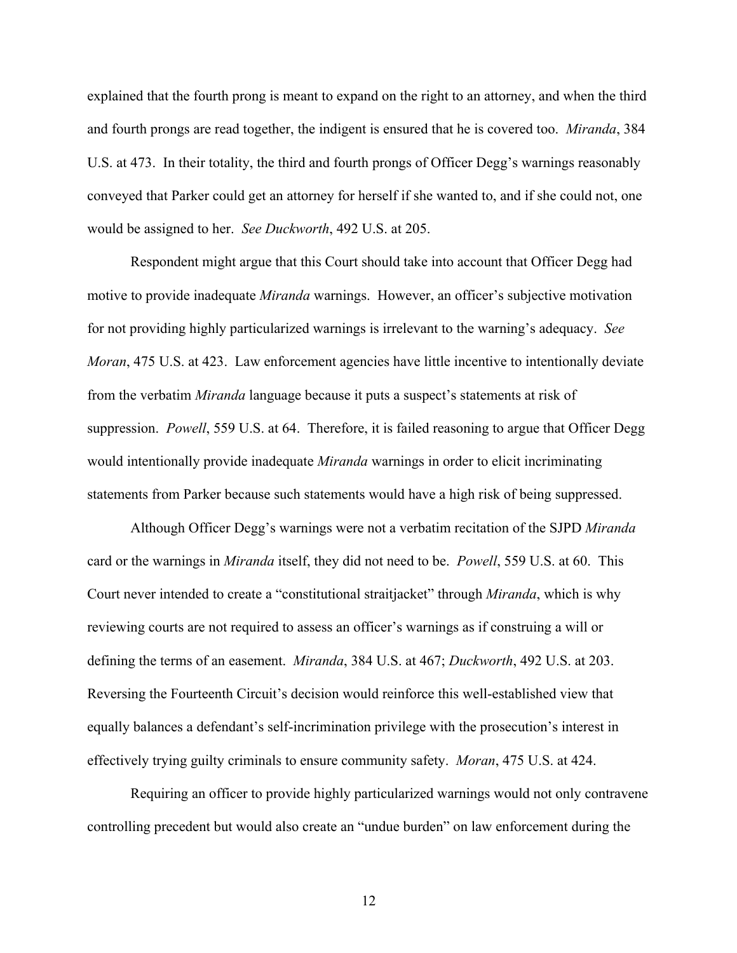explained that the fourth prong is meant to expand on the right to an attorney, and when the third and fourth prongs are read together, the indigent is ensured that he is covered too. *Miranda*, 384 U.S. at 473. In their totality, the third and fourth prongs of Officer Degg's warnings reasonably conveyed that Parker could get an attorney for herself if she wanted to, and if she could not, one would be assigned to her. *See Duckworth*, 492 U.S. at 205.

Respondent might argue that this Court should take into account that Officer Degg had motive to provide inadequate *Miranda* warnings. However, an officer's subjective motivation for not providing highly particularized warnings is irrelevant to the warning's adequacy. *See Moran*, 475 U.S. at 423. Law enforcement agencies have little incentive to intentionally deviate from the verbatim *Miranda* language because it puts a suspect's statements at risk of suppression. *Powell*, 559 U.S. at 64. Therefore, it is failed reasoning to argue that Officer Degg would intentionally provide inadequate *Miranda* warnings in order to elicit incriminating statements from Parker because such statements would have a high risk of being suppressed.

Although Officer Degg's warnings were not a verbatim recitation of the SJPD *Miranda*  card or the warnings in *Miranda* itself, they did not need to be. *Powell*, 559 U.S. at 60. This Court never intended to create a "constitutional straitjacket" through *Miranda*, which is why reviewing courts are not required to assess an officer's warnings as if construing a will or defining the terms of an easement. *Miranda*, 384 U.S. at 467; *Duckworth*, 492 U.S. at 203. Reversing the Fourteenth Circuit's decision would reinforce this well-established view that equally balances a defendant's self-incrimination privilege with the prosecution's interest in effectively trying guilty criminals to ensure community safety. *Moran*, 475 U.S. at 424.

Requiring an officer to provide highly particularized warnings would not only contravene controlling precedent but would also create an "undue burden" on law enforcement during the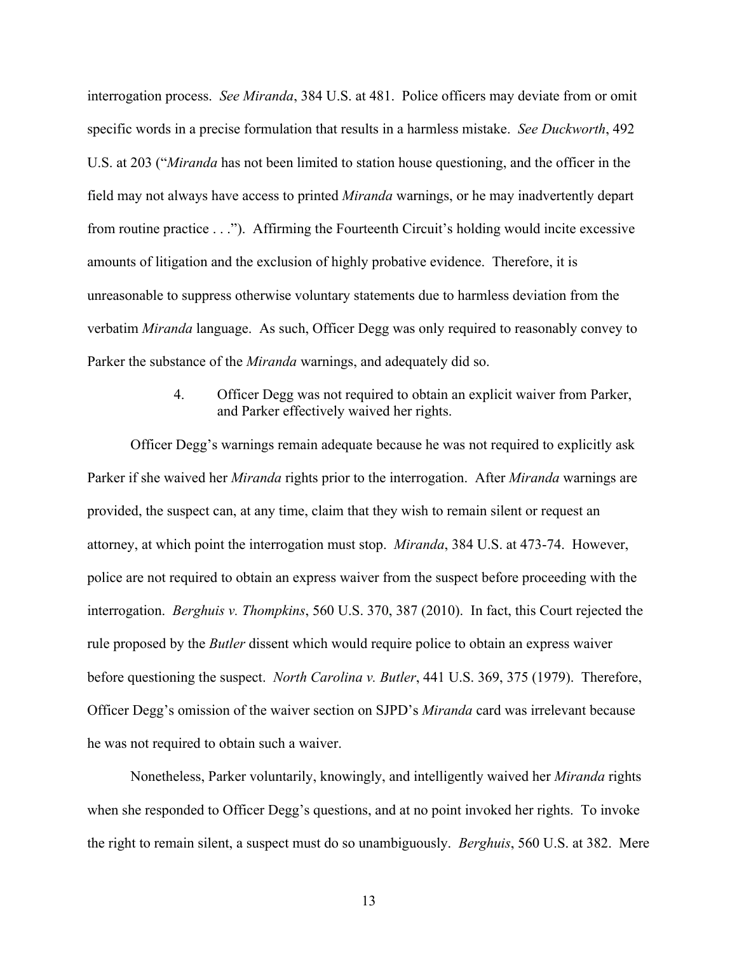interrogation process. *See Miranda*, 384 U.S. at 481. Police officers may deviate from or omit specific words in a precise formulation that results in a harmless mistake. *See Duckworth*, 492 U.S. at 203 ("*Miranda* has not been limited to station house questioning, and the officer in the field may not always have access to printed *Miranda* warnings, or he may inadvertently depart from routine practice . . ."). Affirming the Fourteenth Circuit's holding would incite excessive amounts of litigation and the exclusion of highly probative evidence. Therefore, it is unreasonable to suppress otherwise voluntary statements due to harmless deviation from the verbatim *Miranda* language. As such, Officer Degg was only required to reasonably convey to Parker the substance of the *Miranda* warnings, and adequately did so.

## 4. Officer Degg was not required to obtain an explicit waiver from Parker, and Parker effectively waived her rights.

Officer Degg's warnings remain adequate because he was not required to explicitly ask Parker if she waived her *Miranda* rights prior to the interrogation. After *Miranda* warnings are provided, the suspect can, at any time, claim that they wish to remain silent or request an attorney, at which point the interrogation must stop. *Miranda*, 384 U.S. at 473-74. However, police are not required to obtain an express waiver from the suspect before proceeding with the interrogation. *Berghuis v. Thompkins*, 560 U.S. 370, 387 (2010). In fact, this Court rejected the rule proposed by the *Butler* dissent which would require police to obtain an express waiver before questioning the suspect. *North Carolina v. Butler*, 441 U.S. 369, 375 (1979). Therefore, Officer Degg's omission of the waiver section on SJPD's *Miranda* card was irrelevant because he was not required to obtain such a waiver.

Nonetheless, Parker voluntarily, knowingly, and intelligently waived her *Miranda* rights when she responded to Officer Degg's questions, and at no point invoked her rights. To invoke the right to remain silent, a suspect must do so unambiguously. *Berghuis*, 560 U.S. at 382. Mere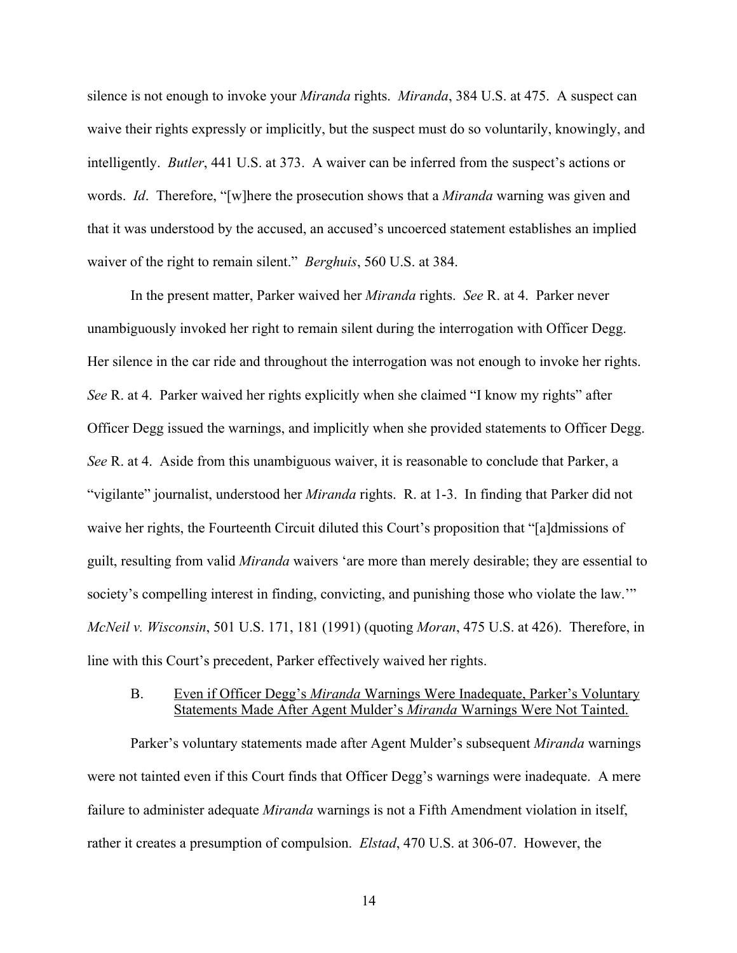silence is not enough to invoke your *Miranda* rights. *Miranda*, 384 U.S. at 475. A suspect can waive their rights expressly or implicitly, but the suspect must do so voluntarily, knowingly, and intelligently. *Butler*, 441 U.S. at 373. A waiver can be inferred from the suspect's actions or words. *Id*. Therefore, "[w]here the prosecution shows that a *Miranda* warning was given and that it was understood by the accused, an accused's uncoerced statement establishes an implied waiver of the right to remain silent." *Berghuis*, 560 U.S. at 384.

In the present matter, Parker waived her *Miranda* rights. *See* R. at 4. Parker never unambiguously invoked her right to remain silent during the interrogation with Officer Degg. Her silence in the car ride and throughout the interrogation was not enough to invoke her rights. *See* R. at 4. Parker waived her rights explicitly when she claimed "I know my rights" after Officer Degg issued the warnings, and implicitly when she provided statements to Officer Degg. *See* R. at 4. Aside from this unambiguous waiver, it is reasonable to conclude that Parker, a "vigilante" journalist, understood her *Miranda* rights. R. at 1-3. In finding that Parker did not waive her rights, the Fourteenth Circuit diluted this Court's proposition that "[a]dmissions of guilt, resulting from valid *Miranda* waivers 'are more than merely desirable; they are essential to society's compelling interest in finding, convicting, and punishing those who violate the law.'" *McNeil v. Wisconsin*, 501 U.S. 171, 181 (1991) (quoting *Moran*, 475 U.S. at 426). Therefore, in line with this Court's precedent, Parker effectively waived her rights.

### B. Even if Officer Degg's *Miranda* Warnings Were Inadequate, Parker's Voluntary Statements Made After Agent Mulder's *Miranda* Warnings Were Not Tainted.

Parker's voluntary statements made after Agent Mulder's subsequent *Miranda* warnings were not tainted even if this Court finds that Officer Degg's warnings were inadequate. A mere failure to administer adequate *Miranda* warnings is not a Fifth Amendment violation in itself, rather it creates a presumption of compulsion. *Elstad*, 470 U.S. at 306-07. However, the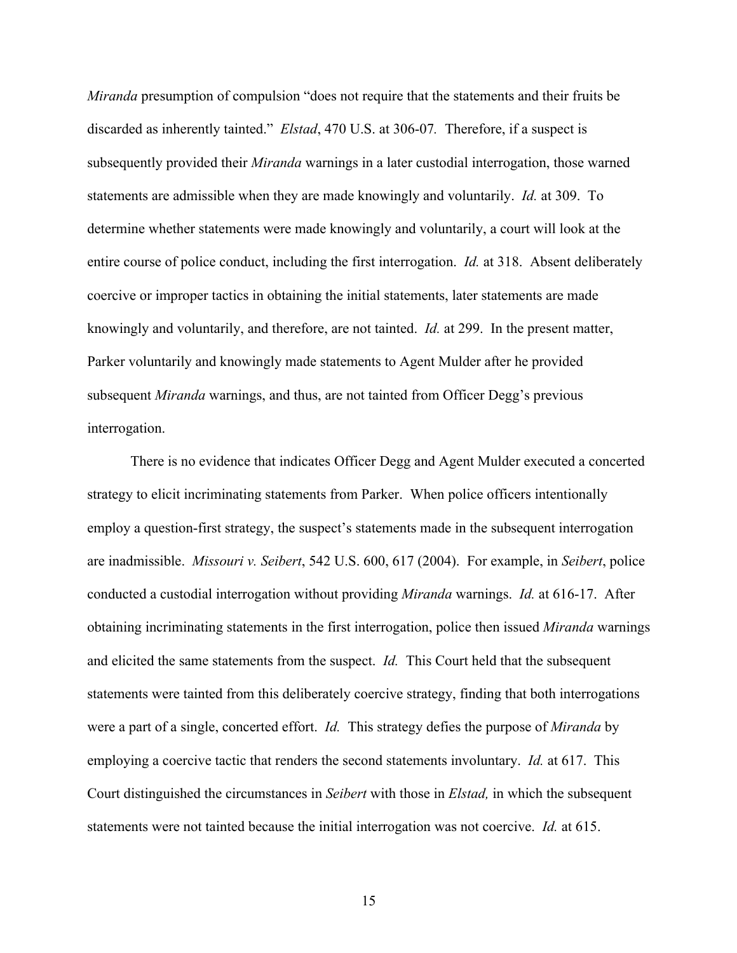*Miranda* presumption of compulsion "does not require that the statements and their fruits be discarded as inherently tainted." *Elstad*, 470 U.S. at 306-07*.* Therefore, if a suspect is subsequently provided their *Miranda* warnings in a later custodial interrogation, those warned statements are admissible when they are made knowingly and voluntarily. *Id.* at 309. To determine whether statements were made knowingly and voluntarily, a court will look at the entire course of police conduct, including the first interrogation. *Id.* at 318. Absent deliberately coercive or improper tactics in obtaining the initial statements, later statements are made knowingly and voluntarily, and therefore, are not tainted. *Id.* at 299. In the present matter, Parker voluntarily and knowingly made statements to Agent Mulder after he provided subsequent *Miranda* warnings, and thus, are not tainted from Officer Degg's previous interrogation.

There is no evidence that indicates Officer Degg and Agent Mulder executed a concerted strategy to elicit incriminating statements from Parker. When police officers intentionally employ a question-first strategy, the suspect's statements made in the subsequent interrogation are inadmissible. *Missouri v. Seibert*, 542 U.S. 600, 617 (2004). For example, in *Seibert*, police conducted a custodial interrogation without providing *Miranda* warnings. *Id.* at 616-17. After obtaining incriminating statements in the first interrogation, police then issued *Miranda* warnings and elicited the same statements from the suspect. *Id.* This Court held that the subsequent statements were tainted from this deliberately coercive strategy, finding that both interrogations were a part of a single, concerted effort. *Id.* This strategy defies the purpose of *Miranda* by employing a coercive tactic that renders the second statements involuntary. *Id.* at 617. This Court distinguished the circumstances in *Seibert* with those in *Elstad,* in which the subsequent statements were not tainted because the initial interrogation was not coercive. *Id.* at 615.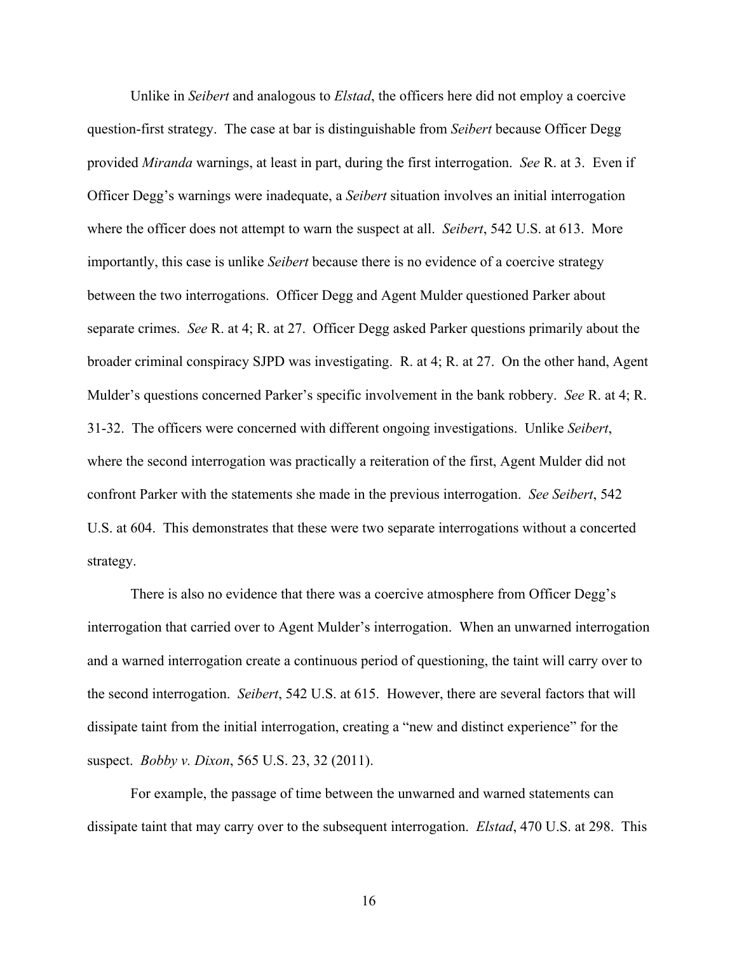Unlike in *Seibert* and analogous to *Elstad*, the officers here did not employ a coercive question-first strategy. The case at bar is distinguishable from *Seibert* because Officer Degg provided *Miranda* warnings, at least in part, during the first interrogation. *See* R. at 3. Even if Officer Degg's warnings were inadequate, a *Seibert* situation involves an initial interrogation where the officer does not attempt to warn the suspect at all. *Seibert*, 542 U.S. at 613. More importantly, this case is unlike *Seibert* because there is no evidence of a coercive strategy between the two interrogations. Officer Degg and Agent Mulder questioned Parker about separate crimes. *See* R. at 4; R. at 27. Officer Degg asked Parker questions primarily about the broader criminal conspiracy SJPD was investigating. R. at 4; R. at 27. On the other hand, Agent Mulder's questions concerned Parker's specific involvement in the bank robbery. *See* R. at 4; R. 31-32. The officers were concerned with different ongoing investigations. Unlike *Seibert*, where the second interrogation was practically a reiteration of the first, Agent Mulder did not confront Parker with the statements she made in the previous interrogation. *See Seibert*, 542 U.S. at 604. This demonstrates that these were two separate interrogations without a concerted strategy.

There is also no evidence that there was a coercive atmosphere from Officer Degg's interrogation that carried over to Agent Mulder's interrogation. When an unwarned interrogation and a warned interrogation create a continuous period of questioning, the taint will carry over to the second interrogation. *Seibert*, 542 U.S. at 615. However, there are several factors that will dissipate taint from the initial interrogation, creating a "new and distinct experience" for the suspect. *Bobby v. Dixon*, 565 U.S. 23, 32 (2011).

For example, the passage of time between the unwarned and warned statements can dissipate taint that may carry over to the subsequent interrogation. *Elstad*, 470 U.S. at 298. This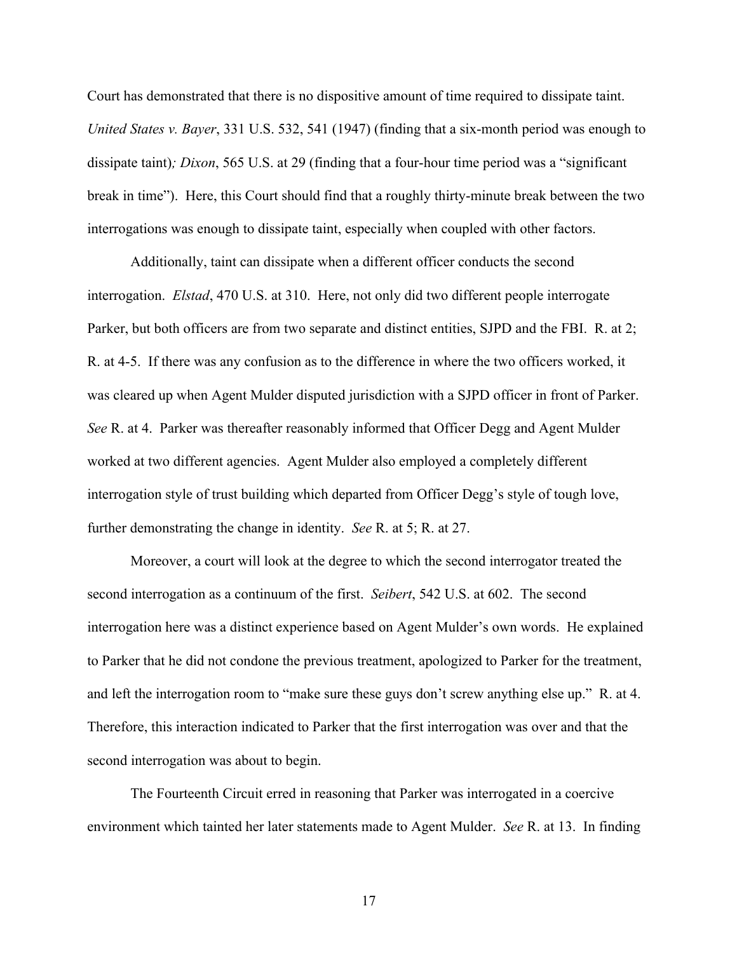Court has demonstrated that there is no dispositive amount of time required to dissipate taint. *United States v. Bayer*, 331 U.S. 532, 541 (1947) (finding that a six-month period was enough to dissipate taint)*; Dixon*, 565 U.S. at 29 (finding that a four-hour time period was a "significant break in time"). Here, this Court should find that a roughly thirty-minute break between the two interrogations was enough to dissipate taint, especially when coupled with other factors.

Additionally, taint can dissipate when a different officer conducts the second interrogation. *Elstad*, 470 U.S. at 310. Here, not only did two different people interrogate Parker, but both officers are from two separate and distinct entities, SJPD and the FBI. R. at 2; R. at 4-5. If there was any confusion as to the difference in where the two officers worked, it was cleared up when Agent Mulder disputed jurisdiction with a SJPD officer in front of Parker. *See* R. at 4. Parker was thereafter reasonably informed that Officer Degg and Agent Mulder worked at two different agencies. Agent Mulder also employed a completely different interrogation style of trust building which departed from Officer Degg's style of tough love, further demonstrating the change in identity. *See* R. at 5; R. at 27.

Moreover, a court will look at the degree to which the second interrogator treated the second interrogation as a continuum of the first. *Seibert*, 542 U.S. at 602. The second interrogation here was a distinct experience based on Agent Mulder's own words. He explained to Parker that he did not condone the previous treatment, apologized to Parker for the treatment, and left the interrogation room to "make sure these guys don't screw anything else up." R. at 4. Therefore, this interaction indicated to Parker that the first interrogation was over and that the second interrogation was about to begin.

The Fourteenth Circuit erred in reasoning that Parker was interrogated in a coercive environment which tainted her later statements made to Agent Mulder. *See* R. at 13. In finding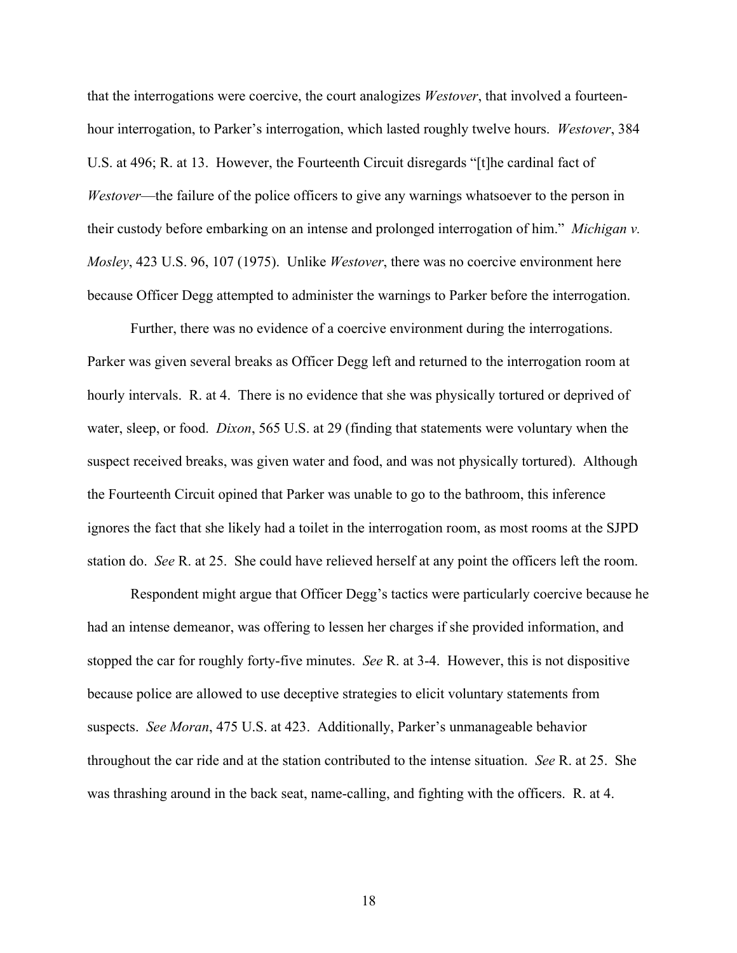that the interrogations were coercive, the court analogizes *Westover*, that involved a fourteenhour interrogation, to Parker's interrogation, which lasted roughly twelve hours. *Westover*, 384 U.S. at 496; R. at 13. However, the Fourteenth Circuit disregards "[t]he cardinal fact of *Westover*—the failure of the police officers to give any warnings whatsoever to the person in their custody before embarking on an intense and prolonged interrogation of him." *Michigan v. Mosley*, 423 U.S. 96, 107 (1975). Unlike *Westover*, there was no coercive environment here because Officer Degg attempted to administer the warnings to Parker before the interrogation.

Further, there was no evidence of a coercive environment during the interrogations. Parker was given several breaks as Officer Degg left and returned to the interrogation room at hourly intervals. R. at 4. There is no evidence that she was physically tortured or deprived of water, sleep, or food. *Dixon*, 565 U.S. at 29 (finding that statements were voluntary when the suspect received breaks, was given water and food, and was not physically tortured). Although the Fourteenth Circuit opined that Parker was unable to go to the bathroom, this inference ignores the fact that she likely had a toilet in the interrogation room, as most rooms at the SJPD station do. *See* R. at 25. She could have relieved herself at any point the officers left the room.

Respondent might argue that Officer Degg's tactics were particularly coercive because he had an intense demeanor, was offering to lessen her charges if she provided information, and stopped the car for roughly forty-five minutes. *See* R. at 3-4. However, this is not dispositive because police are allowed to use deceptive strategies to elicit voluntary statements from suspects. *See Moran*, 475 U.S. at 423. Additionally, Parker's unmanageable behavior throughout the car ride and at the station contributed to the intense situation. *See* R. at 25. She was thrashing around in the back seat, name-calling, and fighting with the officers. R. at 4.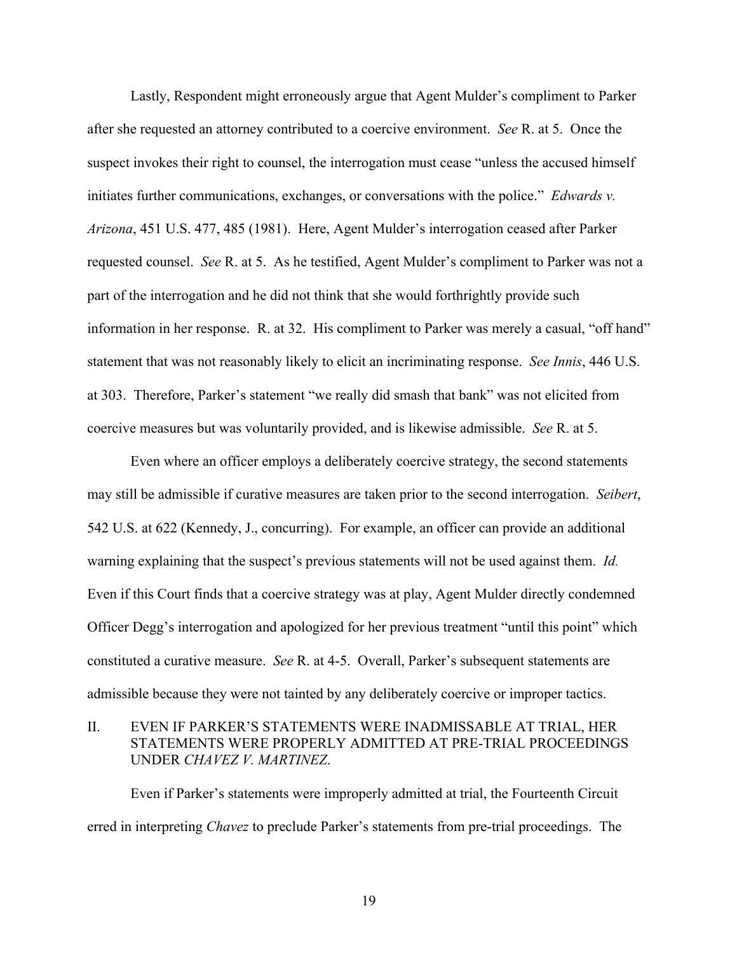Lastly, Respondent might erroneously argue that Agent Mulder's compliment to Parker after she requested an attorney contributed to a coercive environment. *See* R. at 5. Once the suspect invokes their right to counsel, the interrogation must cease "unless the accused himself initiates further communications, exchanges, or conversations with the police." *Edwards v. Arizona*, 451 U.S. 477, 485 (1981). Here, Agent Mulder's interrogation ceased after Parker requested counsel. *See* R. at 5. As he testified, Agent Mulder's compliment to Parker was not a part of the interrogation and he did not think that she would forthrightly provide such information in her response. R. at 32. His compliment to Parker was merely a casual, "off hand" statement that was not reasonably likely to elicit an incriminating response. *See Innis*, 446 U.S. at 303. Therefore, Parker's statement "we really did smash that bank" was not elicited from coercive measures but was voluntarily provided, and is likewise admissible. *See* R. at 5.

Even where an officer employs a deliberately coercive strategy, the second statements may still be admissible if curative measures are taken prior to the second interrogation. *Seibert*, 542 U.S. at 622 (Kennedy, J., concurring). For example, an officer can provide an additional warning explaining that the suspect's previous statements will not be used against them. *Id.* Even if this Court finds that a coercive strategy was at play, Agent Mulder directly condemned Officer Degg's interrogation and apologized for her previous treatment "until this point" which constituted a curative measure. *See* R. at 4-5. Overall, Parker's subsequent statements are admissible because they were not tainted by any deliberately coercive or improper tactics.

## II. EVEN IF PARKER'S STATEMENTS WERE INADMISSABLE AT TRIAL, HER STATEMENTS WERE PROPERLY ADMITTED AT PRE-TRIAL PROCEEDINGS UNDER *CHAVEZ V. MARTINEZ*.

Even if Parker's statements were improperly admitted at trial, the Fourteenth Circuit erred in interpreting *Chavez* to preclude Parker's statements from pre-trial proceedings. The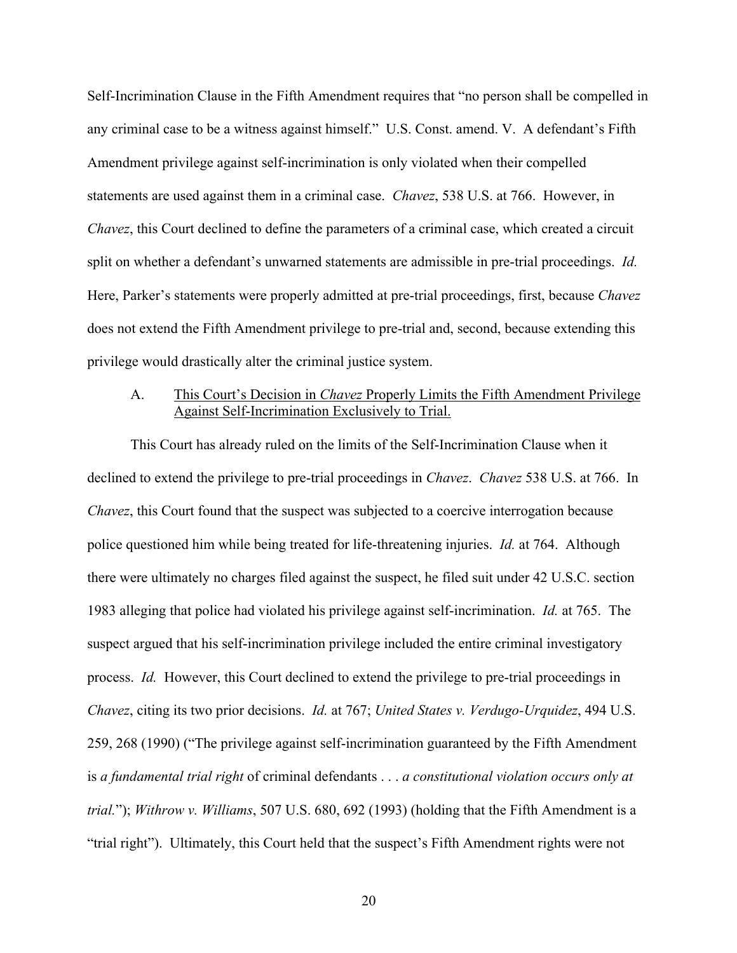Self-Incrimination Clause in the Fifth Amendment requires that "no person shall be compelled in any criminal case to be a witness against himself." U.S. Const. amend. V. A defendant's Fifth Amendment privilege against self-incrimination is only violated when their compelled statements are used against them in a criminal case. *Chavez*, 538 U.S. at 766. However, in *Chavez*, this Court declined to define the parameters of a criminal case, which created a circuit split on whether a defendant's unwarned statements are admissible in pre-trial proceedings. *Id.* Here, Parker's statements were properly admitted at pre-trial proceedings, first, because *Chavez* does not extend the Fifth Amendment privilege to pre-trial and, second, because extending this privilege would drastically alter the criminal justice system.

## A. This Court's Decision in *Chavez* Properly Limits the Fifth Amendment Privilege Against Self-Incrimination Exclusively to Trial.

This Court has already ruled on the limits of the Self-Incrimination Clause when it declined to extend the privilege to pre-trial proceedings in *Chavez*. *Chavez* 538 U.S. at 766. In *Chavez*, this Court found that the suspect was subjected to a coercive interrogation because police questioned him while being treated for life-threatening injuries. *Id.* at 764. Although there were ultimately no charges filed against the suspect, he filed suit under 42 U.S.C. section 1983 alleging that police had violated his privilege against self-incrimination. *Id.* at 765. The suspect argued that his self-incrimination privilege included the entire criminal investigatory process. *Id.* However, this Court declined to extend the privilege to pre-trial proceedings in *Chavez*, citing its two prior decisions. *Id.* at 767; *United States v. Verdugo-Urquidez*, 494 U.S. 259, 268 (1990) ("The privilege against self-incrimination guaranteed by the Fifth Amendment is *a fundamental trial right* of criminal defendants . . . *a constitutional violation occurs only at trial.*"); *Withrow v. Williams*, 507 U.S. 680, 692 (1993) (holding that the Fifth Amendment is a "trial right"). Ultimately, this Court held that the suspect's Fifth Amendment rights were not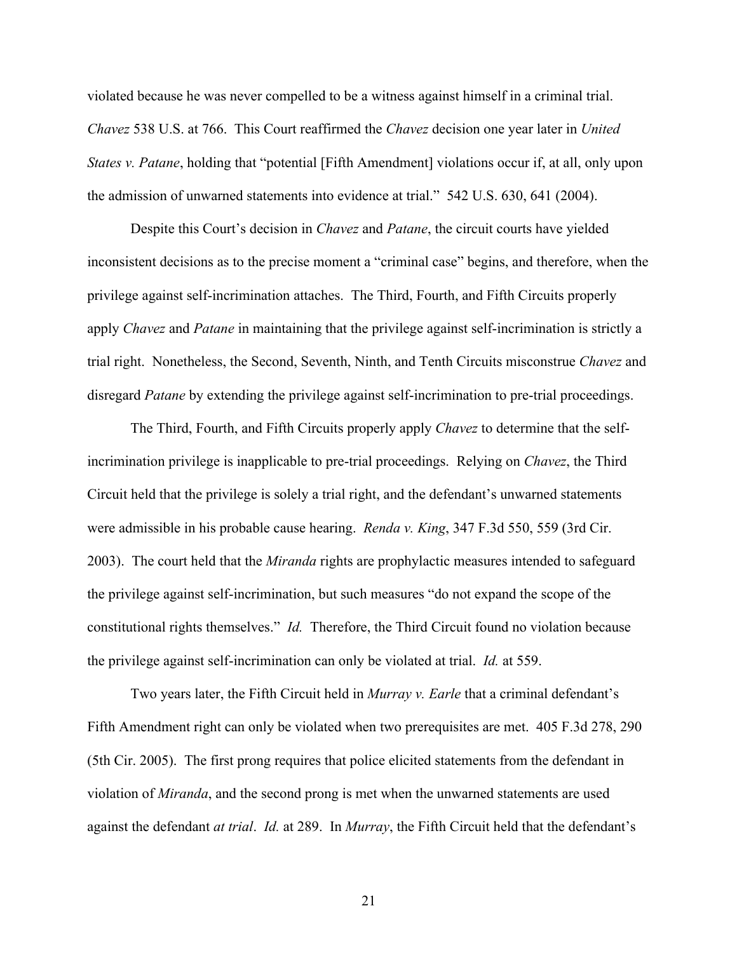violated because he was never compelled to be a witness against himself in a criminal trial. *Chavez* 538 U.S. at 766. This Court reaffirmed the *Chavez* decision one year later in *United States v. Patane*, holding that "potential [Fifth Amendment] violations occur if, at all, only upon the admission of unwarned statements into evidence at trial." 542 U.S. 630, 641 (2004).

Despite this Court's decision in *Chavez* and *Patane*, the circuit courts have yielded inconsistent decisions as to the precise moment a "criminal case" begins, and therefore, when the privilege against self-incrimination attaches. The Third, Fourth, and Fifth Circuits properly apply *Chavez* and *Patane* in maintaining that the privilege against self-incrimination is strictly a trial right. Nonetheless, the Second, Seventh, Ninth, and Tenth Circuits misconstrue *Chavez* and disregard *Patane* by extending the privilege against self-incrimination to pre-trial proceedings.

The Third, Fourth, and Fifth Circuits properly apply *Chavez* to determine that the selfincrimination privilege is inapplicable to pre-trial proceedings. Relying on *Chavez*, the Third Circuit held that the privilege is solely a trial right, and the defendant's unwarned statements were admissible in his probable cause hearing. *Renda v. King*, 347 F.3d 550, 559 (3rd Cir. 2003). The court held that the *Miranda* rights are prophylactic measures intended to safeguard the privilege against self-incrimination, but such measures "do not expand the scope of the constitutional rights themselves." *Id.* Therefore, the Third Circuit found no violation because the privilege against self-incrimination can only be violated at trial. *Id.* at 559.

Two years later, the Fifth Circuit held in *Murray v. Earle* that a criminal defendant's Fifth Amendment right can only be violated when two prerequisites are met. 405 F.3d 278, 290 (5th Cir. 2005). The first prong requires that police elicited statements from the defendant in violation of *Miranda*, and the second prong is met when the unwarned statements are used against the defendant *at trial*. *Id.* at 289. In *Murray*, the Fifth Circuit held that the defendant's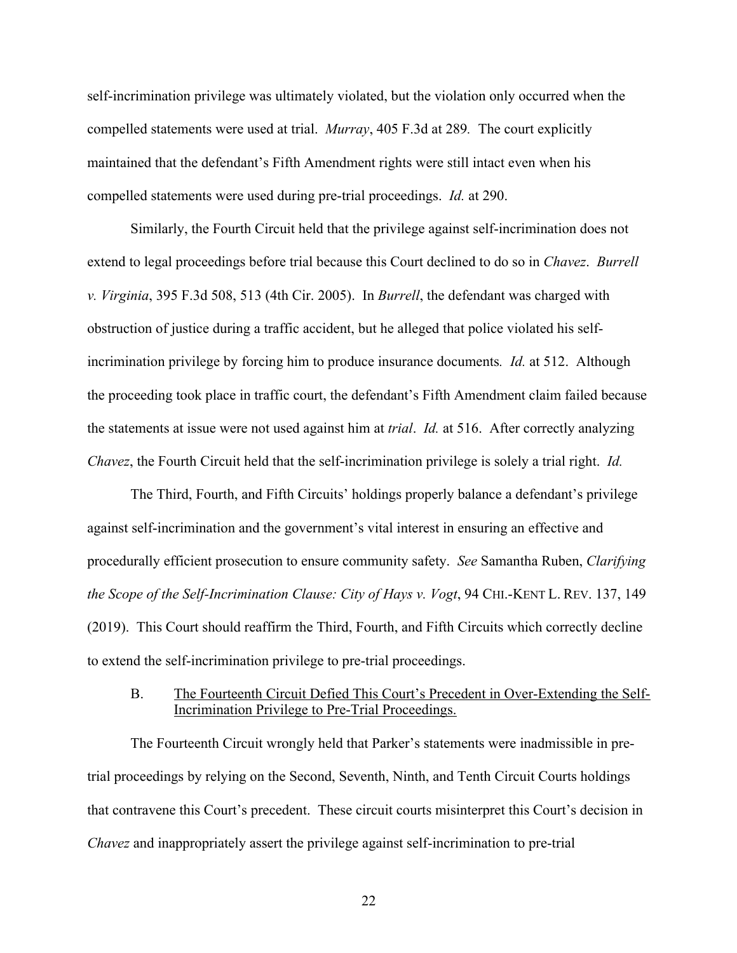self-incrimination privilege was ultimately violated, but the violation only occurred when the compelled statements were used at trial. *Murray*, 405 F.3d at 289*.* The court explicitly maintained that the defendant's Fifth Amendment rights were still intact even when his compelled statements were used during pre-trial proceedings. *Id.* at 290.

Similarly, the Fourth Circuit held that the privilege against self-incrimination does not extend to legal proceedings before trial because this Court declined to do so in *Chavez*. *Burrell v. Virginia*, 395 F.3d 508, 513 (4th Cir. 2005). In *Burrell*, the defendant was charged with obstruction of justice during a traffic accident, but he alleged that police violated his selfincrimination privilege by forcing him to produce insurance documents*. Id.* at 512. Although the proceeding took place in traffic court, the defendant's Fifth Amendment claim failed because the statements at issue were not used against him at *trial*. *Id.* at 516. After correctly analyzing *Chavez*, the Fourth Circuit held that the self-incrimination privilege is solely a trial right. *Id.* 

The Third, Fourth, and Fifth Circuits' holdings properly balance a defendant's privilege against self-incrimination and the government's vital interest in ensuring an effective and procedurally efficient prosecution to ensure community safety. *See* Samantha Ruben, *Clarifying the Scope of the Self-Incrimination Clause: City of Hays v. Vogt*, 94 CHI.-KENT L. REV. 137, 149 (2019). This Court should reaffirm the Third, Fourth, and Fifth Circuits which correctly decline to extend the self-incrimination privilege to pre-trial proceedings.

## B. The Fourteenth Circuit Defied This Court's Precedent in Over-Extending the Self-Incrimination Privilege to Pre-Trial Proceedings.

The Fourteenth Circuit wrongly held that Parker's statements were inadmissible in pretrial proceedings by relying on the Second, Seventh, Ninth, and Tenth Circuit Courts holdings that contravene this Court's precedent. These circuit courts misinterpret this Court's decision in *Chavez* and inappropriately assert the privilege against self-incrimination to pre-trial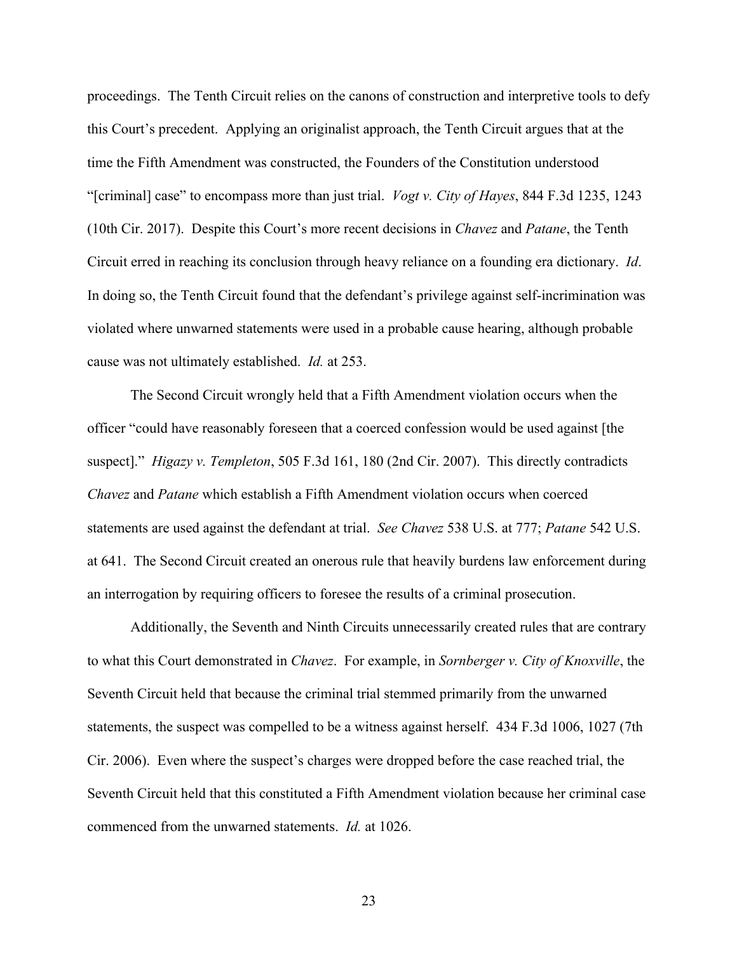proceedings. The Tenth Circuit relies on the canons of construction and interpretive tools to defy this Court's precedent. Applying an originalist approach, the Tenth Circuit argues that at the time the Fifth Amendment was constructed, the Founders of the Constitution understood "[criminal] case" to encompass more than just trial. *Vogt v. City of Hayes*, 844 F.3d 1235, 1243 (10th Cir. 2017). Despite this Court's more recent decisions in *Chavez* and *Patane*, the Tenth Circuit erred in reaching its conclusion through heavy reliance on a founding era dictionary. *Id*. In doing so, the Tenth Circuit found that the defendant's privilege against self-incrimination was violated where unwarned statements were used in a probable cause hearing, although probable cause was not ultimately established. *Id.* at 253.

The Second Circuit wrongly held that a Fifth Amendment violation occurs when the officer "could have reasonably foreseen that a coerced confession would be used against [the suspect]." *Higazy v. Templeton*, 505 F.3d 161, 180 (2nd Cir. 2007). This directly contradicts *Chavez* and *Patane* which establish a Fifth Amendment violation occurs when coerced statements are used against the defendant at trial. *See Chavez* 538 U.S. at 777; *Patane* 542 U.S. at 641. The Second Circuit created an onerous rule that heavily burdens law enforcement during an interrogation by requiring officers to foresee the results of a criminal prosecution.

Additionally, the Seventh and Ninth Circuits unnecessarily created rules that are contrary to what this Court demonstrated in *Chavez*. For example, in *Sornberger v. City of Knoxville*, the Seventh Circuit held that because the criminal trial stemmed primarily from the unwarned statements, the suspect was compelled to be a witness against herself. 434 F.3d 1006, 1027 (7th Cir. 2006). Even where the suspect's charges were dropped before the case reached trial, the Seventh Circuit held that this constituted a Fifth Amendment violation because her criminal case commenced from the unwarned statements. *Id.* at 1026.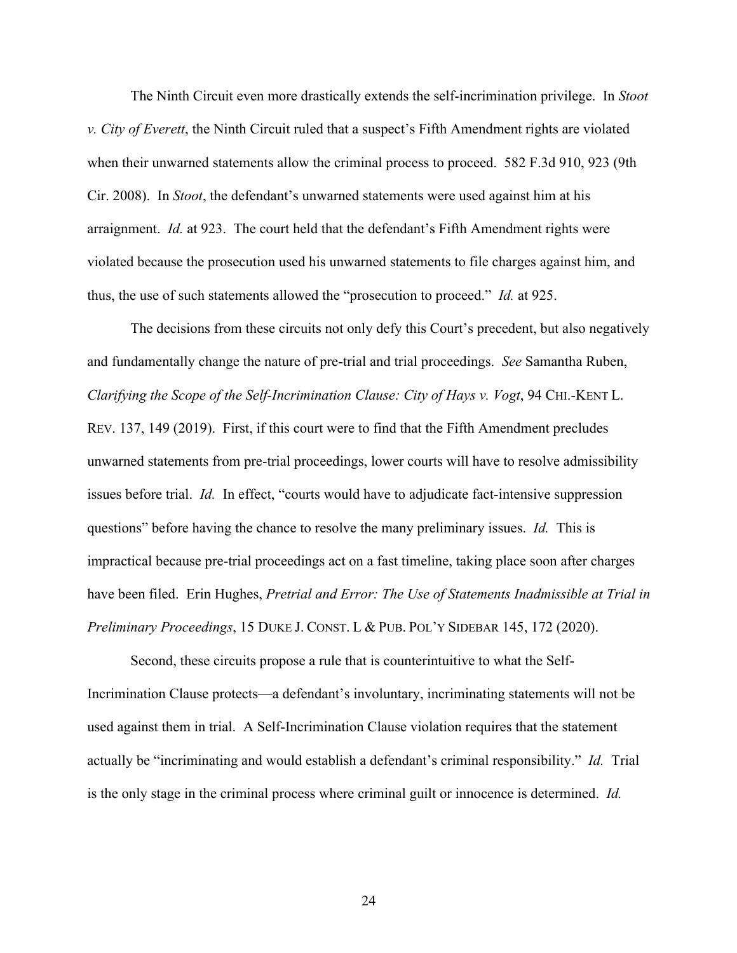The Ninth Circuit even more drastically extends the self-incrimination privilege. In *Stoot v. City of Everett*, the Ninth Circuit ruled that a suspect's Fifth Amendment rights are violated when their unwarned statements allow the criminal process to proceed. 582 F.3d 910, 923 (9th Cir. 2008). In *Stoot*, the defendant's unwarned statements were used against him at his arraignment. *Id.* at 923. The court held that the defendant's Fifth Amendment rights were violated because the prosecution used his unwarned statements to file charges against him, and thus, the use of such statements allowed the "prosecution to proceed." *Id.* at 925.

The decisions from these circuits not only defy this Court's precedent, but also negatively and fundamentally change the nature of pre-trial and trial proceedings. *See* Samantha Ruben, *Clarifying the Scope of the Self-Incrimination Clause: City of Hays v. Vogt*, 94 CHI.-KENT L. REV. 137, 149 (2019). First, if this court were to find that the Fifth Amendment precludes unwarned statements from pre-trial proceedings, lower courts will have to resolve admissibility issues before trial. *Id.* In effect, "courts would have to adjudicate fact-intensive suppression questions" before having the chance to resolve the many preliminary issues. *Id.* This is impractical because pre-trial proceedings act on a fast timeline, taking place soon after charges have been filed. Erin Hughes, *Pretrial and Error: The Use of Statements Inadmissible at Trial in Preliminary Proceedings*, 15 DUKE J. CONST. L & PUB. POL'Y SIDEBAR 145, 172 (2020).

Second, these circuits propose a rule that is counterintuitive to what the Self-Incrimination Clause protects—a defendant's involuntary, incriminating statements will not be used against them in trial. A Self-Incrimination Clause violation requires that the statement actually be "incriminating and would establish a defendant's criminal responsibility." *Id.* Trial is the only stage in the criminal process where criminal guilt or innocence is determined. *Id.*